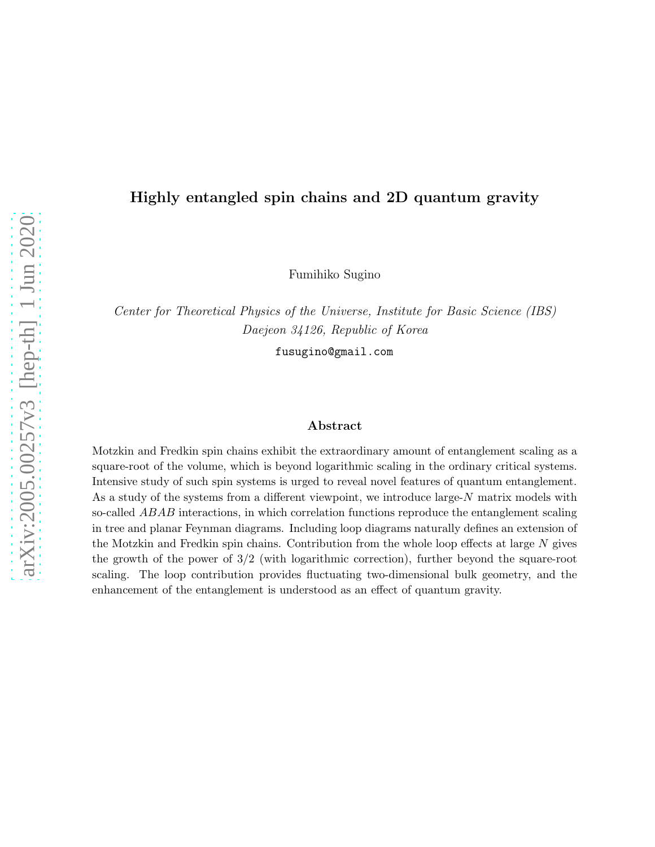### Highly entangled spin chains and 2D quantum gravity

Fumihiko Sugino

Center for Theoretical Physics of the Universe, Institute for Basic Science (IBS) Daejeon 34126, Republic of Korea

fusugino@gmail.com

#### Abstract

Motzkin and Fredkin spin chains exhibit the extraordinary amount of entanglement scaling as a square-root of the volume, which is beyond logarithmic scaling in the ordinary critical systems. Intensive study of such spin systems is urged to reveal novel features of quantum entanglement. As a study of the systems from a different viewpoint, we introduce large-N matrix models with so-called ABAB interactions, in which correlation functions reproduce the entanglement scaling in tree and planar Feynman diagrams. Including loop diagrams naturally defines an extension of the Motzkin and Fredkin spin chains. Contribution from the whole loop effects at large  $N$  gives the growth of the power of 3/2 (with logarithmic correction), further beyond the square-root scaling. The loop contribution provides fluctuating two-dimensional bulk geometry, and the enhancement of the entanglement is understood as an effect of quantum gravity.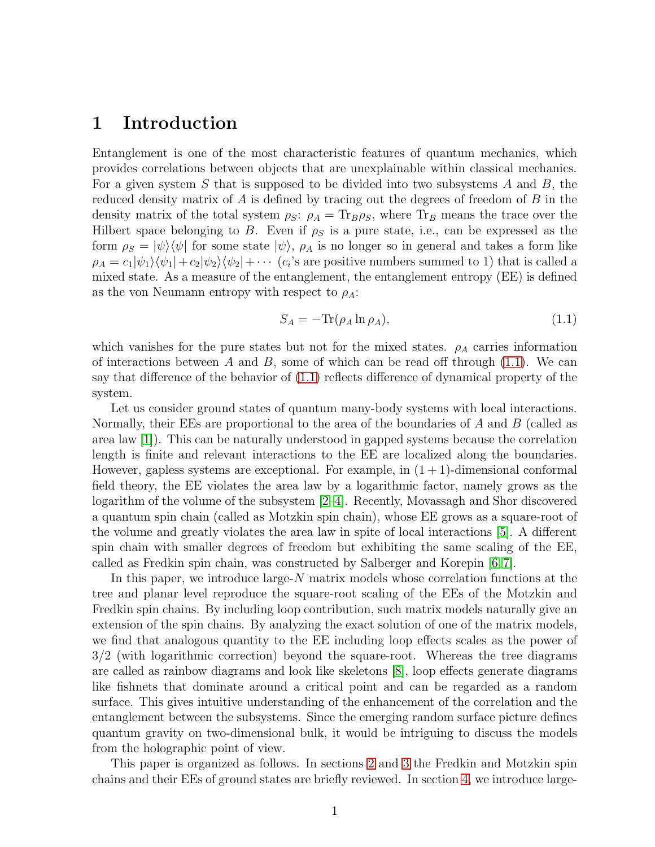# 1 Introduction

Entanglement is one of the most characteristic features of quantum mechanics, which provides correlations between objects that are unexplainable within classical mechanics. For a given system S that is supposed to be divided into two subsystems A and B, the reduced density matrix of  $A$  is defined by tracing out the degrees of freedom of  $B$  in the density matrix of the total system  $\rho_S$ :  $\rho_A = \text{Tr}_B \rho_S$ , where  $\text{Tr}_B$  means the trace over the Hilbert space belonging to B. Even if  $\rho_S$  is a pure state, i.e., can be expressed as the form  $\rho_S = |\psi\rangle\langle\psi|$  for some state  $|\psi\rangle$ ,  $\rho_A$  is no longer so in general and takes a form like  $\rho_A = c_1|\psi_1\rangle\langle\psi_1| + c_2|\psi_2\rangle\langle\psi_2| + \cdots$  ( $c_i$ 's are positive numbers summed to 1) that is called a mixed state. As a measure of the entanglement, the entanglement entropy (EE) is defined as the von Neumann entropy with respect to  $\rho_A$ :

<span id="page-1-0"></span>
$$
S_A = -\text{Tr}(\rho_A \ln \rho_A),\tag{1.1}
$$

which vanishes for the pure states but not for the mixed states.  $\rho_A$  carries information of interactions between A and B, some of which can be read off through  $(1.1)$ . We can say that difference of the behavior of [\(1.1\)](#page-1-0) reflects difference of dynamical property of the system.

Let us consider ground states of quantum many-body systems with local interactions. Normally, their EEs are proportional to the area of the boundaries of  $A$  and  $B$  (called as area law [\[1\]](#page-26-0)). This can be naturally understood in gapped systems because the correlation length is finite and relevant interactions to the EE are localized along the boundaries. However, gapless systems are exceptional. For example, in  $(1 + 1)$ -dimensional conformal field theory, the EE violates the area law by a logarithmic factor, namely grows as the logarithm of the volume of the subsystem [\[2](#page-26-1)[–4\]](#page-26-2). Recently, Movassagh and Shor discovered a quantum spin chain (called as Motzkin spin chain), whose EE grows as a square-root of the volume and greatly violates the area law in spite of local interactions [\[5\]](#page-26-3). A different spin chain with smaller degrees of freedom but exhibiting the same scaling of the EE, called as Fredkin spin chain, was constructed by Salberger and Korepin [\[6,](#page-26-4) [7\]](#page-26-5).

In this paper, we introduce large-N matrix models whose correlation functions at the tree and planar level reproduce the square-root scaling of the EEs of the Motzkin and Fredkin spin chains. By including loop contribution, such matrix models naturally give an extension of the spin chains. By analyzing the exact solution of one of the matrix models, we find that analogous quantity to the EE including loop effects scales as the power of 3/2 (with logarithmic correction) beyond the square-root. Whereas the tree diagrams are called as rainbow diagrams and look like skeletons [\[8\]](#page-26-6), loop effects generate diagrams like fishnets that dominate around a critical point and can be regarded as a random surface. This gives intuitive understanding of the enhancement of the correlation and the entanglement between the subsystems. Since the emerging random surface picture defines quantum gravity on two-dimensional bulk, it would be intriguing to discuss the models from the holographic point of view.

This paper is organized as follows. In sections [2](#page-2-0) and [3](#page-6-0) the Fredkin and Motzkin spin chains and their EEs of ground states are briefly reviewed. In section [4,](#page-8-0) we introduce large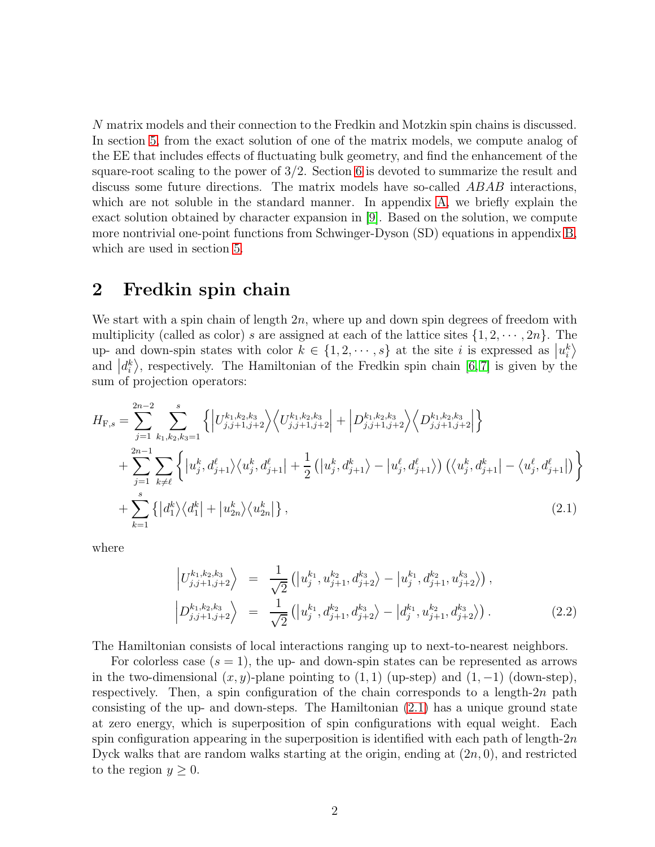N matrix models and their connection to the Fredkin and Motzkin spin chains is discussed. In section [5,](#page-12-0) from the exact solution of one of the matrix models, we compute analog of the EE that includes effects of fluctuating bulk geometry, and find the enhancement of the square-root scaling to the power of 3/2. Section [6](#page-17-0) is devoted to summarize the result and discuss some future directions. The matrix models have so-called ABAB interactions, which are not soluble in the standard manner. In appendix [A,](#page-18-0) we briefly explain the exact solution obtained by character expansion in [\[9\]](#page-27-0). Based on the solution, we compute more nontrivial one-point functions from Schwinger-Dyson (SD) equations in appendix [B,](#page-24-0) which are used in section [5.](#page-12-0)

# <span id="page-2-0"></span>2 Fredkin spin chain

We start with a spin chain of length  $2n$ , where up and down spin degrees of freedom with multiplicity (called as color) s are assigned at each of the lattice sites  $\{1, 2, \dots, 2n\}$ . The up- and down-spin states with color  $k \in \{1, 2, \dots, s\}$  at the site i is expressed as  $|u_i^k\rangle$ and  $\left|d_i^k\right>$ , respectively. The Hamiltonian of the Fredkin spin chain [\[6,](#page-26-4)7] is given by the sum of projection operators:

$$
H_{\mathrm{F},s} = \sum_{j=1}^{2n-2} \sum_{k_1,k_2,k_3=1}^{s} \left\{ \left| U_{j,j+1,j+2}^{k_1,k_2,k_3} \right\rangle \left\langle U_{j,j+1,j+2}^{k_1,k_2,k_3} \right| + \left| D_{j,j+1,j+2}^{k_1,k_2,k_3} \right\rangle \left\langle D_{j,j+1,j+2}^{k_1,k_2,k_3} \right| \right\} + \sum_{j=1}^{2n-1} \sum_{k \neq \ell} \left\{ \left| u_j^k, d_{j+1}^\ell \right\rangle \left\langle u_j^k, d_{j+1}^\ell \right| + \frac{1}{2} \left( \left| u_j^k, d_{j+1}^k \right\rangle - \left| u_j^\ell, d_{j+1}^\ell \right\rangle \right) \left( \left\langle u_j^k, d_{j+1}^k \right| - \left\langle u_j^\ell, d_{j+1}^\ell \right| \right) \right\} + \sum_{k=1}^{s} \left\{ \left| d_1^k \right\rangle \left\langle d_1^k \right| + \left| u_{2n}^k \right\rangle \left\langle u_{2n}^k \right| \right\},
$$
\n(2.1)

where

<span id="page-2-1"></span>
$$
\left| U_{j,j+1,j+2}^{k_1,k_2,k_3} \right\rangle = \frac{1}{\sqrt{2}} \left( \left| u_j^{k_1}, u_{j+1}^{k_2}, d_{j+2}^{k_3} \right\rangle - \left| u_j^{k_1}, d_{j+1}^{k_2}, u_{j+2}^{k_3} \right\rangle \right),
$$
\n
$$
\left| D_{j,j+1,j+2}^{k_1,k_2,k_3} \right\rangle = \frac{1}{\sqrt{2}} \left( \left| u_j^{k_1}, d_{j+1}^{k_2}, d_{j+2}^{k_3} \right\rangle - \left| d_j^{k_1}, u_{j+1}^{k_2}, d_{j+2}^{k_3} \right\rangle \right).
$$
\n(2.2)

The Hamiltonian consists of local interactions ranging up to next-to-nearest neighbors.

For colorless case  $(s = 1)$ , the up- and down-spin states can be represented as arrows in the two-dimensional  $(x, y)$ -plane pointing to  $(1, 1)$  (up-step) and  $(1, -1)$  (down-step), respectively. Then, a spin configuration of the chain corresponds to a length- $2n$  path consisting of the up- and down-steps. The Hamiltonian [\(2.1\)](#page-2-1) has a unique ground state at zero energy, which is superposition of spin configurations with equal weight. Each spin configuration appearing in the superposition is identified with each path of length-2n Dyck walks that are random walks starting at the origin, ending at  $(2n, 0)$ , and restricted to the region  $y \geq 0$ .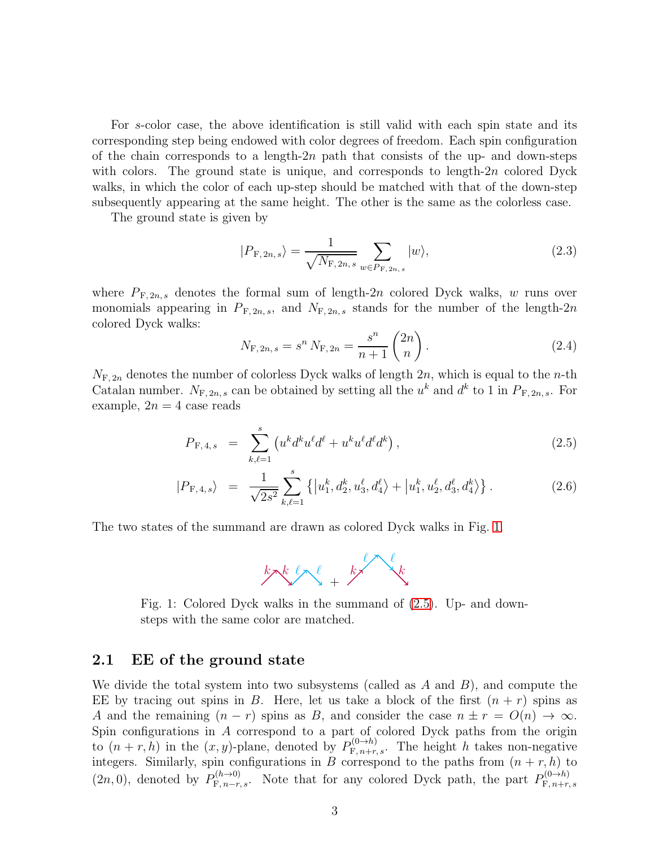For s-color case, the above identification is still valid with each spin state and its corresponding step being endowed with color degrees of freedom. Each spin configuration of the chain corresponds to a length- $2n$  path that consists of the up- and down-steps with colors. The ground state is unique, and corresponds to length-2n colored Dyck walks, in which the color of each up-step should be matched with that of the down-step subsequently appearing at the same height. The other is the same as the colorless case.

The ground state is given by

$$
|P_{\mathcal{F},2n,s}\rangle = \frac{1}{\sqrt{N_{\mathcal{F},2n,s}}} \sum_{w \in P_{\mathcal{F},2n,s}} |w\rangle,
$$
 (2.3)

where  $P_{\text{F},2n,s}$  denotes the formal sum of length-2n colored Dyck walks, w runs over monomials appearing in  $P_{\mathrm{F,2n},s}$ , and  $N_{\mathrm{F,2n},s}$  stands for the number of the length-2n colored Dyck walks:

<span id="page-3-2"></span>
$$
N_{\mathrm{F},2n,s} = s^n N_{\mathrm{F},2n} = \frac{s^n}{n+1} {2n \choose n}.
$$
 (2.4)

 $N_{\text{F, }2n}$  denotes the number of colorless Dyck walks of length  $2n$ , which is equal to the *n*-th Catalan number.  $N_{\text{F},2n,s}$  can be obtained by setting all the  $u^k$  and  $d^k$  to 1 in  $P_{\text{F},2n,s}$ . For example,  $2n = 4$  case reads

<span id="page-3-1"></span>
$$
P_{\mathrm{F},4,s} = \sum_{k,\ell=1}^{s} \left( u^k d^k u^{\ell} d^{\ell} + u^k u^{\ell} d^{\ell} d^k \right), \qquad (2.5)
$$

$$
|P_{\mathrm{F},4,s}\rangle = \frac{1}{\sqrt{2s^2}} \sum_{k,\ell=1}^s \left\{ |u_1^k, d_2^k, u_3^\ell, d_4^\ell \rangle + |u_1^k, u_2^\ell, d_3^\ell, d_4^k \rangle \right\}.
$$
 (2.6)

<span id="page-3-0"></span>The two states of the summand are drawn as colored Dyck walks in Fig. [1.](#page-3-0)



Fig. 1: Colored Dyck walks in the summand of [\(2.5\)](#page-3-1). Up- and downsteps with the same color are matched.

### 2.1 EE of the ground state

We divide the total system into two subsystems (called as  $A$  and  $B$ ), and compute the EE by tracing out spins in B. Here, let us take a block of the first  $(n + r)$  spins as A and the remaining  $(n - r)$  spins as B, and consider the case  $n \pm r = O(n) \rightarrow \infty$ . Spin configurations in A correspond to a part of colored Dyck paths from the origin to  $(n + r, h)$  in the  $(x, y)$ -plane, denoted by  $P_{\mathrm{F}, n+r, s}^{(0 \to h)}$ . The height h takes non-negative integers. Similarly, spin configurations in B correspond to the paths from  $(n + r, h)$  to  $(2n, 0)$ , denoted by  $P_{\mathrm{F}, n-r,s}^{(h\to 0)}$ . Note that for any colored Dyck path, the part  $P_{\mathrm{F}, n+r,s}^{(0\to h)}$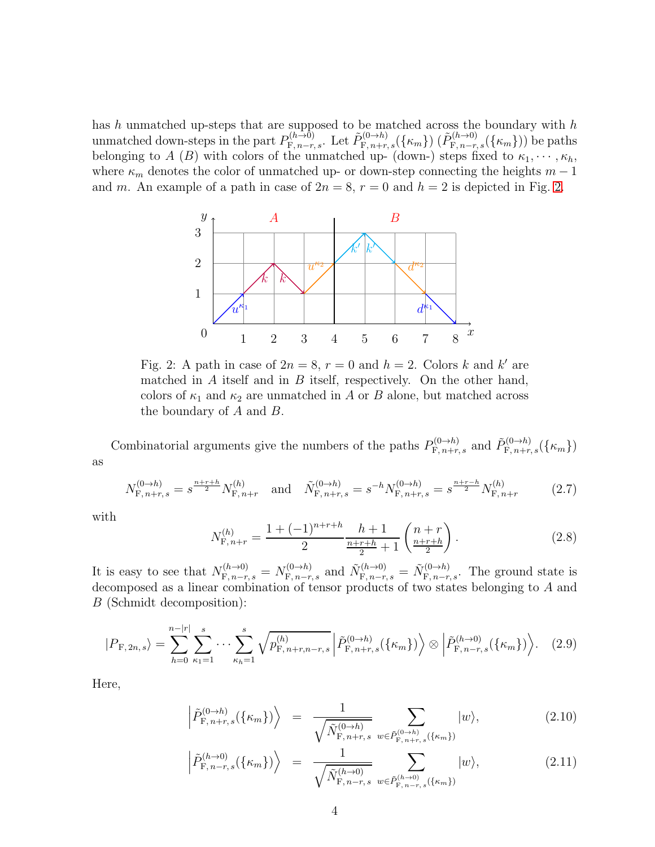<span id="page-4-0"></span>has h unmatched up-steps that are supposed to be matched across the boundary with  $h$ unmatched down-steps in the part  $P_{\mathrm{F},n-r,s}^{(h\to 0)}$ . Let  $\tilde{P}_{\mathrm{F},n+r,s}^{(0\to h)}(\{\kappa_m\})$  ( $\tilde{P}_{\mathrm{F},n-r,s}^{(h\to 0)}(\{\kappa_m\})$ ) be paths belonging to A (B) with colors of the unmatched up- (down-) steps fixed to  $\kappa_1, \dots, \kappa_h$ , where  $\kappa_m$  denotes the color of unmatched up- or down-step connecting the heights  $m-1$ and m. An example of a path in case of  $2n = 8$ ,  $r = 0$  and  $h = 2$  is depicted in Fig. [2.](#page-4-0)



Fig. 2: A path in case of  $2n = 8$ ,  $r = 0$  and  $h = 2$ . Colors k and k' are matched in A itself and in B itself, respectively. On the other hand, colors of  $\kappa_1$  and  $\kappa_2$  are unmatched in A or B alone, but matched across the boundary of  $A$  and  $B$ .

Combinatorial arguments give the numbers of the paths  $P_{\mathrm{F}, n+r,s}^{(0 \to h)}$  and  $\tilde{P}_{\mathrm{F}, n+r,s}^{(0 \to h)}(\{\kappa_m\})$ as

$$
N_{\mathcal{F}, n+r,s}^{(0 \to h)} = s^{\frac{n+r+h}{2}} N_{\mathcal{F}, n+r}^{(h)} \quad \text{and} \quad \tilde{N}_{\mathcal{F}, n+r,s}^{(0 \to h)} = s^{-h} N_{\mathcal{F}, n+r,s}^{(0 \to h)} = s^{\frac{n+r-h}{2}} N_{\mathcal{F}, n+r}^{(h)} \tag{2.7}
$$

with

<span id="page-4-2"></span>
$$
N_{\mathcal{F}, n+r}^{(h)} = \frac{1 + (-1)^{n+r+h}}{2} \frac{h+1}{\frac{n+r+h}{2} + 1} \left(\frac{n+r}{\frac{n+r+h}{2}}\right). \tag{2.8}
$$

It is easy to see that  $N_{\mathrm{F},n-r,s}^{(h\to0)}=N_{\mathrm{F},n-r,s}^{(0\to h)}$  and  $\tilde{N}_{\mathrm{F},n-r,s}^{(h\to0)}=\tilde{N}_{\mathrm{F},n-r,s}^{(0\to h)}$ . The ground state is decomposed as a linear combination of tensor products of two states belonging to A and B (Schmidt decomposition):

<span id="page-4-1"></span>
$$
|P_{\mathcal{F},2n,s}\rangle = \sum_{h=0}^{n-|r|} \sum_{\kappa_1=1}^s \cdots \sum_{\kappa_h=1}^s \sqrt{p_{\mathcal{F},n+r,n-r,s}^{(h)}} \left| \tilde{P}_{\mathcal{F},n+r,s}^{(0\to h)}(\{\kappa_m\}) \right\rangle \otimes \left| \tilde{P}_{\mathcal{F},n-r,s}^{(h\to 0)}(\{\kappa_m\}) \right\rangle. \tag{2.9}
$$

Here,

$$
\left| \tilde{P}_{\mathcal{F}, n+r,s}^{(0 \to h)}(\{\kappa_m\}) \right\rangle = \frac{1}{\sqrt{\tilde{N}_{\mathcal{F}, n+r,s}^{(0 \to h)}}} \sum_{w \in \tilde{P}_{\mathcal{F}, n+r,s}^{(0 \to h)}(\{\kappa_m\})} |w\rangle, \tag{2.10}
$$

$$
\left| \tilde{P}_{\mathcal{F}, n-r,s}^{(h \to 0)}(\{\kappa_m\}) \right\rangle = \frac{1}{\sqrt{\tilde{N}_{\mathcal{F}, n-r,s}^{(h \to 0)}}} \sum_{w \in \tilde{P}_{\mathcal{F}, n-r,s}^{(h \to 0)}(\{\kappa_m\})} |w\rangle, \tag{2.11}
$$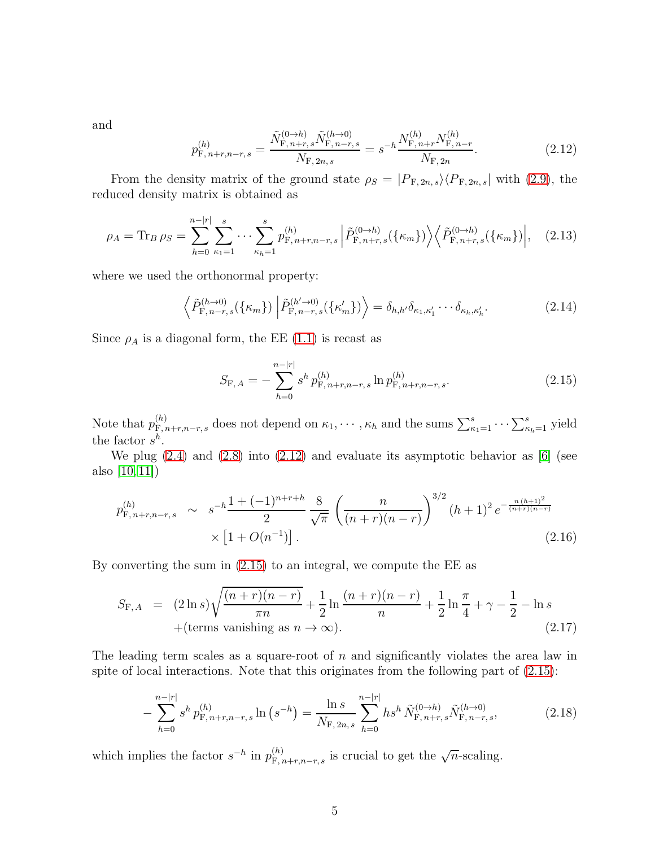and

<span id="page-5-0"></span>
$$
p_{\mathcal{F}, n+r, n-r, s}^{(h)} = \frac{\tilde{N}_{\mathcal{F}, n+r, s}^{(0 \to h)} \tilde{N}_{\mathcal{F}, n-r, s}^{(h \to 0)}}{N_{\mathcal{F}, 2n, s}} = s^{-h} \frac{N_{\mathcal{F}, n+r}^{(h)} N_{\mathcal{F}, n-r}^{(h)}}{N_{\mathcal{F}, 2n}}.
$$
(2.12)

From the density matrix of the ground state  $\rho_S = |P_{\text{F},2n,s}\rangle\langle P_{\text{F},2n,s}|$  with [\(2.9\)](#page-4-1), the reduced density matrix is obtained as

$$
\rho_A = \text{Tr}_B \,\rho_S = \sum_{h=0}^{n-|r|} \sum_{\kappa_1=1}^s \cdots \sum_{\kappa_h=1}^s p_{\text{F},n+r,n-r,s}^{(h)} \left| \tilde{P}_{\text{F},n+r,s}^{(0\to h)}(\{\kappa_m\}) \right\rangle \left\langle \tilde{P}_{\text{F},n+r,s}^{(0\to h)}(\{\kappa_m\}) \right|, \quad (2.13)
$$

where we used the orthonormal property:

$$
\left\langle \tilde{P}_{\mathcal{F},n-r,s}^{(h\to 0)}(\{\kappa_m\}) \left| \tilde{P}_{\mathcal{F},n-r,s}^{(h'\to 0)}(\{\kappa'_m\}) \right\rangle \right\rangle = \delta_{h,h'}\delta_{\kappa_1,\kappa'_1} \cdots \delta_{\kappa_h,\kappa'_h}.
$$
\n(2.14)

Since  $\rho_A$  is a diagonal form, the EE [\(1.1\)](#page-1-0) is recast as

<span id="page-5-1"></span>
$$
S_{\mathcal{F},A} = -\sum_{h=0}^{n-|r|} s^h p_{\mathcal{F},n+r,n-r,s}^{(h)} \ln p_{\mathcal{F},n+r,n-r,s}^{(h)}.
$$
 (2.15)

Note that  $p_{\overline{F},n+r,n-r,s}^{(h)}$  does not depend on  $\kappa_1,\cdots,\kappa_h$  and the sums  $\sum_{\kappa_1=1}^s\cdots\sum_{\kappa_h=1}^s$  yield the factor  $s^h$ .

We plug  $(2.4)$  and  $(2.8)$  into  $(2.12)$  and evaluate its asymptotic behavior as [\[6\]](#page-26-4) (see also [\[10,](#page-27-1) [11\]](#page-27-2))

$$
p_{\mathrm{F}, n+r,n-r,s}^{(h)} \sim s^{-h} \frac{1+(-1)^{n+r+h}}{2} \frac{8}{\sqrt{\pi}} \left(\frac{n}{(n+r)(n-r)}\right)^{3/2} (h+1)^2 e^{-\frac{n(h+1)^2}{(n+r)(n-r)}} \times \left[1+O(n^{-1})\right].
$$
\n(2.16)

By converting the sum in [\(2.15\)](#page-5-1) to an integral, we compute the EE as

<span id="page-5-2"></span>
$$
S_{\mathrm{F},A} = (2\ln s)\sqrt{\frac{(n+r)(n-r)}{\pi n}} + \frac{1}{2}\ln\frac{(n+r)(n-r)}{n} + \frac{1}{2}\ln\frac{\pi}{4} + \gamma - \frac{1}{2} - \ln s + (\text{terms vanishing as } n \to \infty).
$$
\n(2.17)

The leading term scales as a square-root of n and significantly violates the area law in spite of local interactions. Note that this originates from the following part of  $(2.15)$ :

<span id="page-5-3"></span>
$$
-\sum_{h=0}^{n-|r|} s^h p_{\mathrm{F},n+r,n-r,s}^{(h)} \ln \left(s^{-h}\right) = \frac{\ln s}{N_{\mathrm{F},2n,s}} \sum_{h=0}^{n-|r|} h s^h \, \tilde{N}_{\mathrm{F},n+r,s}^{(0\to h)} \tilde{N}_{\mathrm{F},n-r,s}^{(h\to 0)},\tag{2.18}
$$

which implies the factor  $s^{-h}$  in  $p_{\mathrm{F}, n+r,n-r,s}^{(h)}$  is crucial to get the  $\sqrt{n}$ -scaling.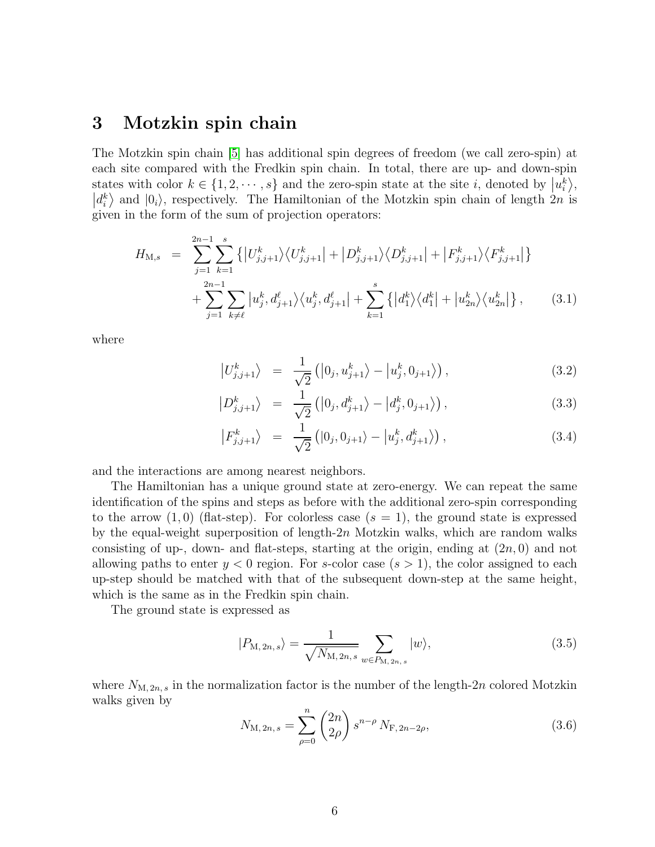# <span id="page-6-0"></span>3 Motzkin spin chain

The Motzkin spin chain [\[5\]](#page-26-3) has additional spin degrees of freedom (we call zero-spin) at each site compared with the Fredkin spin chain. In total, there are up- and down-spin states with color  $k \in \{1, 2, \dots, s\}$  and the zero-spin state at the site *i*, denoted by  $|u_i^k\rangle$ ,  $|d_i^k\rangle$  and  $|0_i\rangle$ , respectively. The Hamiltonian of the Motzkin spin chain of length  $2n$  is given in the form of the sum of projection operators:

<span id="page-6-1"></span>
$$
H_{\mathrm{M},s} = \sum_{j=1}^{2n-1} \sum_{k=1}^{s} \left\{ \left| U_{j,j+1}^{k} \right\rangle \left\langle U_{j,j+1}^{k} \right| + \left| D_{j,j+1}^{k} \right\rangle \left\langle D_{j,j+1}^{k} \right| + \left| F_{j,j+1}^{k} \right\rangle \left\langle F_{j,j+1}^{k} \right| \right\} + \sum_{j=1}^{2n-1} \sum_{k \neq \ell} \left| u_{j}^{k}, d_{j+1}^{\ell} \right\rangle \left\langle u_{j}^{k}, d_{j+1}^{\ell} \right| + \sum_{k=1}^{s} \left\{ \left| d_{1}^{k} \right\rangle \left\langle d_{1}^{k} \right| + \left| u_{2n}^{k} \right\rangle \left\langle u_{2n}^{k} \right| \right\}, \tag{3.1}
$$

where

$$
\left| U_{j,j+1}^k \right\rangle \;\; = \;\; \frac{1}{\sqrt{2}} \left( \left| 0_j, u_{j+1}^k \right\rangle - \left| u_j^k, 0_{j+1} \right\rangle \right), \tag{3.2}
$$

$$
\left| D_{j,j+1}^k \right\rangle \;\; = \;\; \frac{1}{\sqrt{2}} \left( \left| 0_j, d_{j+1}^k \right\rangle - \left| d_j^k, 0_{j+1} \right\rangle \right), \tag{3.3}
$$

$$
\left| F_{j,j+1}^{k} \right\rangle = \frac{1}{\sqrt{2}} \left( |0_j, 0_{j+1} \rangle - |u_j^{k}, d_{j+1}^{k} \rangle \right), \qquad (3.4)
$$

and the interactions are among nearest neighbors.

The Hamiltonian has a unique ground state at zero-energy. We can repeat the same identification of the spins and steps as before with the additional zero-spin corresponding to the arrow  $(1,0)$  (flat-step). For colorless case  $(s = 1)$ , the ground state is expressed by the equal-weight superposition of length- $2n$  Motzkin walks, which are random walks consisting of up-, down- and flat-steps, starting at the origin, ending at  $(2n, 0)$  and not allowing paths to enter  $y < 0$  region. For s-color case  $(s > 1)$ , the color assigned to each up-step should be matched with that of the subsequent down-step at the same height, which is the same as in the Fredkin spin chain.

The ground state is expressed as

$$
|P_{\mathrm{M},2n,s}\rangle = \frac{1}{\sqrt{N_{\mathrm{M},2n,s}}} \sum_{w \in P_{\mathrm{M},2n,s}} |w\rangle, \tag{3.5}
$$

where  $N_{\text{M},2n,s}$  in the normalization factor is the number of the length-2n colored Motzkin walks given by

$$
N_{\mathrm{M},2n,s} = \sum_{\rho=0}^{n} \binom{2n}{2\rho} s^{n-\rho} N_{\mathrm{F},2n-2\rho},\tag{3.6}
$$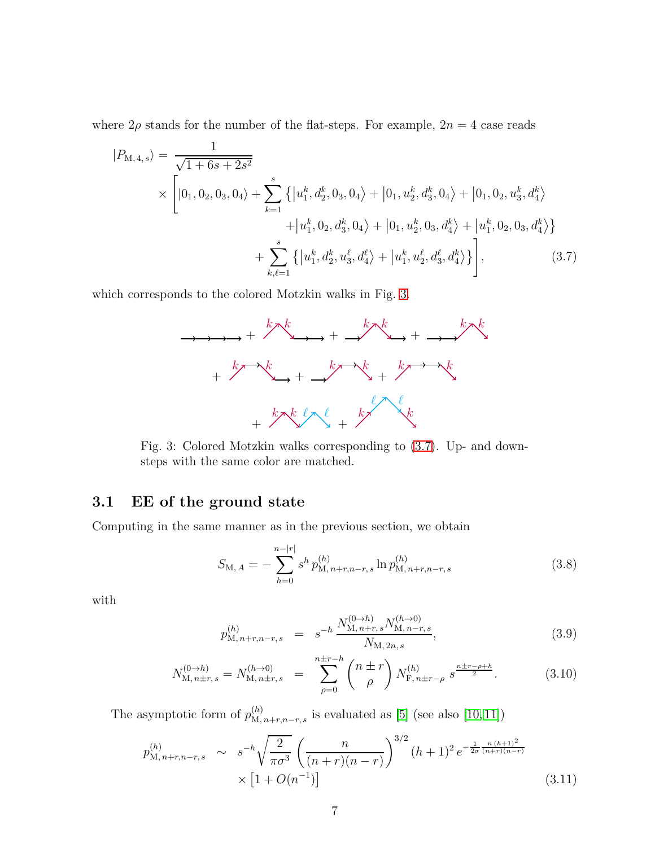where  $2\rho$  stands for the number of the flat-steps. For example,  $2n = 4$  case reads

$$
|P_{\text{M},4,s}\rangle = \frac{1}{\sqrt{1+6s+2s^2}}
$$
  
 
$$
\times \left[|0_1, 0_2, 0_3, 0_4\rangle + \sum_{k=1}^s \left\{ |u_1^k, d_2^k, 0_3, 0_4\rangle + |0_1, u_2^k, d_3^k, 0_4\rangle + |0_1, 0_2, u_3^k, d_4^k\rangle \right.\right. \\ \left. + |u_1^k, 0_2, d_3^k, 0_4\rangle + |0_1, u_2^k, 0_3, d_4^k\rangle + |u_1^k, 0_2, 0_3, d_4^k\rangle \right\}
$$
  
+ 
$$
\sum_{k,\ell=1}^s \left\{ |u_1^k, d_2^k, u_3^{\ell}, d_4^{\ell}\rangle + |u_1^k, u_2^{\ell}, d_3^{\ell}, d_4^k\rangle \right\}, \tag{3.7}
$$

<span id="page-7-0"></span>which corresponds to the colored Motzkin walks in Fig. [3.](#page-7-0)

<span id="page-7-1"></span>

Fig. 3: Colored Motzkin walks corresponding to [\(3.7\)](#page-7-1). Up- and downsteps with the same color are matched.

### 3.1 EE of the ground state

Computing in the same manner as in the previous section, we obtain

<span id="page-7-2"></span>
$$
S_{\mathbf{M},A} = -\sum_{h=0}^{n-|r|} s^h p_{\mathbf{M},n+r,n-r,s}^{(h)} \ln p_{\mathbf{M},n+r,n-r,s}^{(h)}
$$
(3.8)

with

<span id="page-7-3"></span>
$$
p_{\mathrm{M},n+r,n-r,s}^{(h)} = s^{-h} \frac{N_{\mathrm{M},n+r,s}^{(0 \to h)} N_{\mathrm{M},n-r,s}^{(h \to 0)}}{N_{\mathrm{M},2n,s}},
$$
\n(3.9)

$$
N_{\mathcal{M}, n\pm r, s}^{(0 \to h)} = N_{\mathcal{M}, n\pm r, s}^{(h \to 0)} = \sum_{\rho=0}^{n\pm r-h} \binom{n\pm r}{\rho} N_{\mathcal{F}, n\pm r-\rho}^{(h)} s^{\frac{n\pm r-\rho+h}{2}}.
$$
 (3.10)

The asymptotic form of  $p_{\text{M},n+r,n-r,s}^{(h)}$  is evaluated as [\[5\]](#page-26-3) (see also [\[10,](#page-27-1) [11\]](#page-27-2))

$$
p_{\mathrm{M},n+r,n-r,s}^{(h)} \sim s^{-h} \sqrt{\frac{2}{\pi \sigma^3}} \left( \frac{n}{(n+r)(n-r)} \right)^{3/2} (h+1)^2 e^{-\frac{1}{2\sigma} \frac{n(h+1)^2}{(n+r)(n-r)}} \times \left[1 + O(n^{-1})\right] \tag{3.11}
$$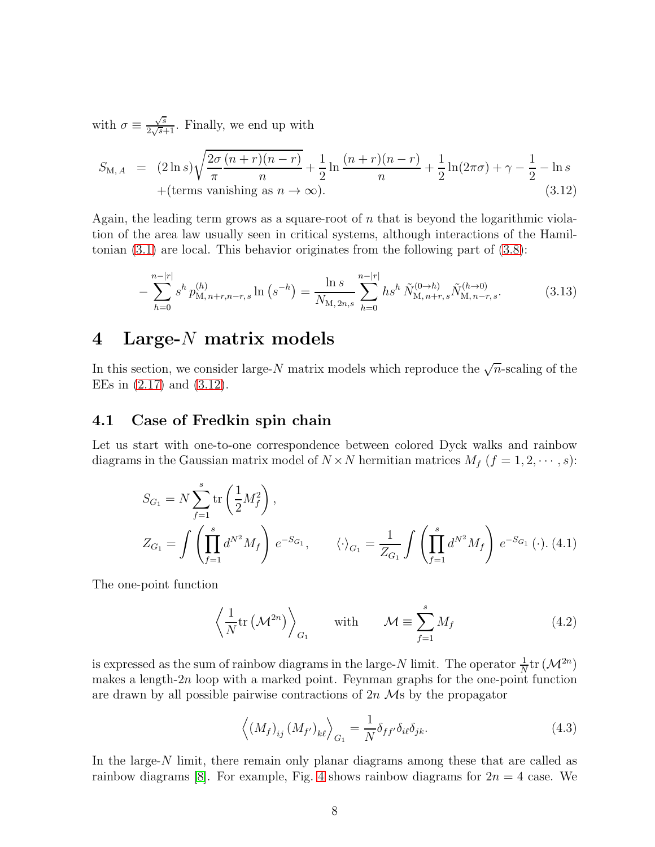with  $\sigma \equiv \frac{\sqrt{s}}{2\sqrt{s}}$  $\frac{\sqrt{s}}{2\sqrt{s}+1}$ . Finally, we end up with

<span id="page-8-1"></span>
$$
S_{\text{M},A} = (2 \ln s) \sqrt{\frac{2\sigma (n+r)(n-r)}{\pi} + \frac{1}{2} \ln \frac{(n+r)(n-r)}{n} + \frac{1}{2} \ln(2\pi\sigma) + \gamma - \frac{1}{2} - \ln s + (\text{terms vanishing as } n \to \infty).
$$
\n(3.12)

Again, the leading term grows as a square-root of  $n$  that is beyond the logarithmic violation of the area law usually seen in critical systems, although interactions of the Hamiltonian [\(3.1\)](#page-6-1) are local. This behavior originates from the following part of [\(3.8\)](#page-7-2):

<span id="page-8-3"></span>
$$
-\sum_{h=0}^{n-|r|} s^h p_{\mathrm{M},n+r,n-r,s}^{(h)} \ln \left(s^{-h}\right) = \frac{\ln s}{N_{\mathrm{M},2n,s}} \sum_{h=0}^{n-|r|} h s^h \, \tilde{N}_{\mathrm{M},n+r,s}^{(0\to h)} \tilde{N}_{\mathrm{M},n-r,s}^{(h\to 0)}.\tag{3.13}
$$

# <span id="page-8-0"></span>4 Large-N matrix models

In this section, we consider large-N matrix models which reproduce the  $\sqrt{n}$ -scaling of the EEs in [\(2.17\)](#page-5-2) and [\(3.12\)](#page-8-1).

### 4.1 Case of Fredkin spin chain

Let us start with one-to-one correspondence between colored Dyck walks and rainbow diagrams in the Gaussian matrix model of  $N \times N$  hermitian matrices  $M_f$   $(f = 1, 2, \dots, s)$ :

<span id="page-8-2"></span>
$$
S_{G_1} = N \sum_{f=1}^{s} tr\left(\frac{1}{2}M_f^2\right),
$$
  
\n
$$
Z_{G_1} = \int \left(\prod_{f=1}^{s} d^{N^2} M_f\right) e^{-S_{G_1}}, \qquad \langle \cdot \rangle_{G_1} = \frac{1}{Z_{G_1}} \int \left(\prod_{f=1}^{s} d^{N^2} M_f\right) e^{-S_{G_1}} (\cdot). (4.1)
$$

The one-point function

$$
\left\langle \frac{1}{N} \text{tr}\left(\mathcal{M}^{2n}\right) \right\rangle_{G_1} \qquad \text{with} \qquad \mathcal{M} \equiv \sum_{f=1}^s M_f \tag{4.2}
$$

is expressed as the sum of rainbow diagrams in the large-N limit. The operator  $\frac{1}{N}$ tr ( $\mathcal{M}^{2n}$ ) makes a length-2n loop with a marked point. Feynman graphs for the one-point function are drawn by all possible pairwise contractions of  $2n$  Ms by the propagator

$$
\left\langle \left(M_f\right)_{ij} \left(M_{f'}\right)_{k\ell} \right\rangle_{G_1} = \frac{1}{N} \delta_{ff'} \delta_{i\ell} \delta_{jk}.
$$
\n(4.3)

In the large-N limit, there remain only planar diagrams among these that are called as rainbow diagrams [\[8\]](#page-26-6). For example, Fig. [4](#page-9-0) shows rainbow diagrams for  $2n = 4$  case. We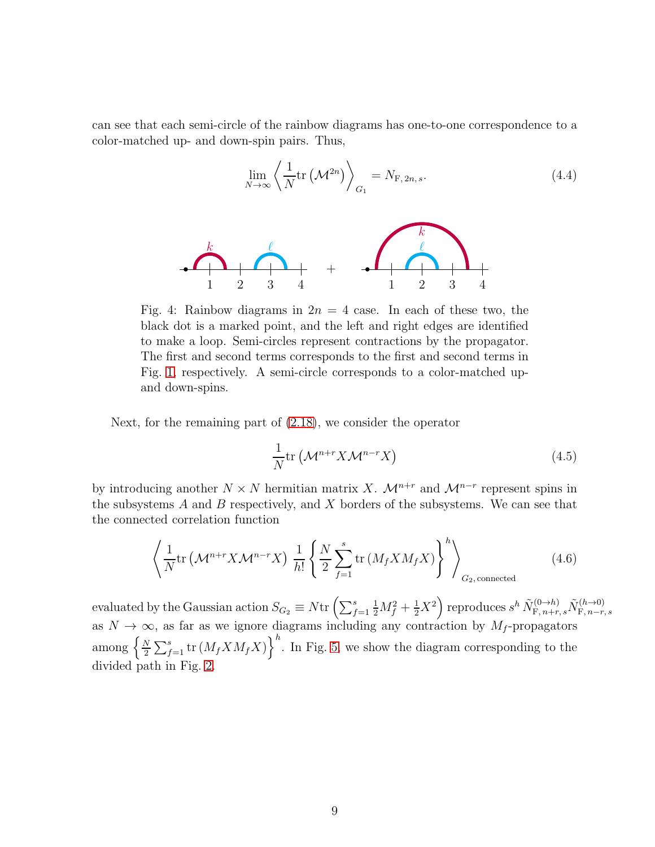can see that each semi-circle of the rainbow diagrams has one-to-one correspondence to a color-matched up- and down-spin pairs. Thus,

<span id="page-9-2"></span>
$$
\lim_{N \to \infty} \left\langle \frac{1}{N} \text{tr}\left(\mathcal{M}^{2n}\right) \right\rangle_{G_1} = N_{\mathcal{F}, 2n, s}.
$$
\n(4.4)

<span id="page-9-0"></span>

Fig. 4: Rainbow diagrams in  $2n = 4$  case. In each of these two, the black dot is a marked point, and the left and right edges are identified to make a loop. Semi-circles represent contractions by the propagator. The first and second terms corresponds to the first and second terms in Fig. [1,](#page-3-0) respectively. A semi-circle corresponds to a color-matched upand down-spins.

Next, for the remaining part of [\(2.18\)](#page-5-3), we consider the operator

<span id="page-9-1"></span>
$$
\frac{1}{N} \text{tr} \left( \mathcal{M}^{n+r} X \mathcal{M}^{n-r} X \right) \tag{4.5}
$$

by introducing another  $N \times N$  hermitian matrix X.  $\mathcal{M}^{n+r}$  and  $\mathcal{M}^{n-r}$  represent spins in the subsystems  $A$  and  $B$  respectively, and  $X$  borders of the subsystems. We can see that the connected correlation function

$$
\left\langle \frac{1}{N} \text{tr}\left(\mathcal{M}^{n+r} X \mathcal{M}^{n-r} X\right) \frac{1}{h!} \left\{ \frac{N}{2} \sum_{f=1}^{s} \text{tr}\left(M_f X M_f X\right) \right\}^{h} \right\}_{G_2, \text{connected}
$$
\n(4.6)

evaluated by the Gaussian action  $S_{G_2} \equiv N \text{tr} \left( \sum_{f=1}^s$  $\frac{1}{2}M_f^2+\frac{1}{2}X^2\Bigr)$  reproduces  $s^h\,\tilde{N}_{\mathrm{F},\,n+r,\,s}^{(0\to h)}\tilde{N}_{\mathrm{F},\,n-r}^{(h\to 0)}$  $\mathrm{F}, n-r, s$ as  $N \to \infty$ , as far as we ignore diagrams including any contraction by  $M_f$ -propagators among  $\left\{\frac{N}{2}\right\}$  $\left(\frac{N}{2}\sum_{f=1}^{s}$  tr  $(M_f X M_f X)$ <sup>h</sup>. In Fig. [5,](#page-10-0) we show the diagram corresponding to the divided path in Fig. [2.](#page-4-0)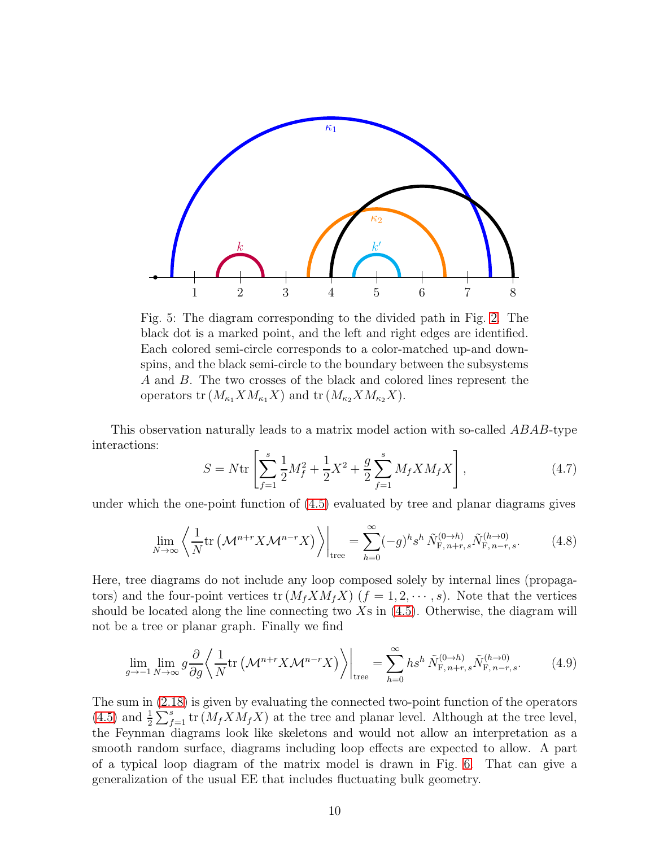<span id="page-10-0"></span>

Fig. 5: The diagram corresponding to the divided path in Fig. [2.](#page-4-0) The black dot is a marked point, and the left and right edges are identified. Each colored semi-circle corresponds to a color-matched up-and downspins, and the black semi-circle to the boundary between the subsystems A and B. The two crosses of the black and colored lines represent the operators tr  $(M_{\kappa_1} X M_{\kappa_1} X)$  and tr  $(M_{\kappa_2} X M_{\kappa_2} X)$ .

This observation naturally leads to a matrix model action with so-called ABAB-type interactions:

<span id="page-10-1"></span>
$$
S = N \text{tr} \left[ \sum_{f=1}^{s} \frac{1}{2} M_f^2 + \frac{1}{2} X^2 + \frac{g}{2} \sum_{f=1}^{s} M_f X M_f X \right], \tag{4.7}
$$

under which the one-point function of [\(4.5\)](#page-9-1) evaluated by tree and planar diagrams gives

$$
\lim_{N \to \infty} \left\langle \frac{1}{N} \text{tr} \left( \mathcal{M}^{n+r} X \mathcal{M}^{n-r} X \right) \right\rangle \Big|_{\text{tree}} = \sum_{h=0}^{\infty} (-g)^h s^h \, \tilde{N}_{\mathcal{F}, n+r, s}^{(0 \to h)} \tilde{N}_{\mathcal{F}, n-r, s}^{(h \to 0)}.
$$
 (4.8)

Here, tree diagrams do not include any loop composed solely by internal lines (propagators) and the four-point vertices tr  $(M_f X M_f X)$   $(f = 1, 2, \dots, s)$ . Note that the vertices should be located along the line connecting two  $X_s$  in  $(4.5)$ . Otherwise, the diagram will not be a tree or planar graph. Finally we find

<span id="page-10-2"></span>
$$
\lim_{g \to -1} \lim_{N \to \infty} g \frac{\partial}{\partial g} \left\langle \frac{1}{N} \text{tr} \left( \mathcal{M}^{n+r} X \mathcal{M}^{n-r} X \right) \right\rangle \Big|_{\text{tree}} = \sum_{h=0}^{\infty} h s^h \, \tilde{N}_{F,n+r,s}^{(0 \to h)} \tilde{N}_{F,n-r,s}^{(h \to 0)}.
$$
 (4.9)

The sum in [\(2.18\)](#page-5-3) is given by evaluating the connected two-point function of the operators [\(4.5\)](#page-9-1) and  $\frac{1}{2}\sum_{f=1}^{s}$  tr  $(M_f X M_f X)$  at the tree and planar level. Although at the tree level, the Feynman diagrams look like skeletons and would not allow an interpretation as a smooth random surface, diagrams including loop effects are expected to allow. A part of a typical loop diagram of the matrix model is drawn in Fig. [6.](#page-11-0) That can give a generalization of the usual EE that includes fluctuating bulk geometry.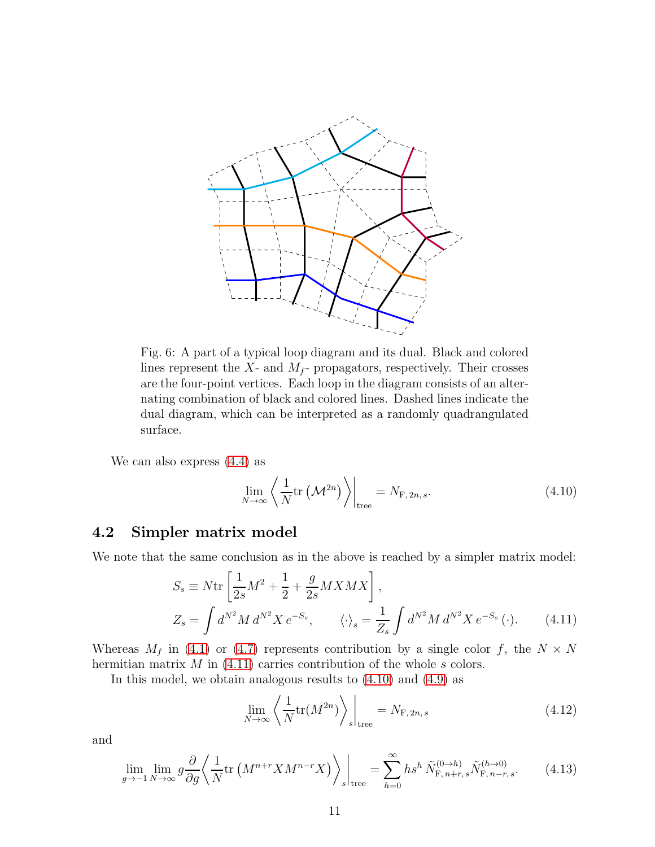<span id="page-11-0"></span>

Fig. 6: A part of a typical loop diagram and its dual. Black and colored lines represent the  $X$ - and  $M_f$ - propagators, respectively. Their crosses are the four-point vertices. Each loop in the diagram consists of an alternating combination of black and colored lines. Dashed lines indicate the dual diagram, which can be interpreted as a randomly quadrangulated surface.

We can also express [\(4.4\)](#page-9-2) as

<span id="page-11-2"></span>
$$
\lim_{N \to \infty} \left\langle \frac{1}{N} \text{tr}\left(\mathcal{M}^{2n}\right) \right\rangle \Big|_{\text{tree}} = N_{\text{F}, 2n, s}.
$$
\n(4.10)

### 4.2 Simpler matrix model

We note that the same conclusion as in the above is reached by a simpler matrix model:

<span id="page-11-1"></span>
$$
S_s \equiv N \text{tr} \left[ \frac{1}{2s} M^2 + \frac{1}{2} + \frac{g}{2s} M X M X \right],
$$
  
\n
$$
Z_s = \int d^{N^2} M \, d^{N^2} X \, e^{-S_s}, \qquad \langle \cdot \rangle_s = \frac{1}{Z_s} \int d^{N^2} M \, d^{N^2} X \, e^{-S_s} \, (\cdot).
$$
\n(4.11)

Whereas  $M_f$  in [\(4.1\)](#page-8-2) or [\(4.7\)](#page-10-1) represents contribution by a single color f, the  $N \times N$ hermitian matrix  $M$  in [\(4.11\)](#page-11-1) carries contribution of the whole  $s$  colors.

In this model, we obtain analogous results to [\(4.10\)](#page-11-2) and [\(4.9\)](#page-10-2) as

<span id="page-11-3"></span>
$$
\lim_{N \to \infty} \left\langle \frac{1}{N} \text{tr}(M^{2n}) \right\rangle_s \bigg|_{\text{tree}} = N_{\text{F}, 2n, s} \tag{4.12}
$$

and

<span id="page-11-4"></span>
$$
\lim_{g \to -1} \lim_{N \to \infty} g \frac{\partial}{\partial g} \left\langle \frac{1}{N} \text{tr} \left( M^{n+r} X M^{n-r} X \right) \right\rangle_s \bigg|_{\text{tree}} = \sum_{h=0}^{\infty} h s^h \, \tilde{N}_{\text{F}, n+r, s}^{(0 \to h)} \tilde{N}_{\text{F}, n-r, s}^{(h \to 0)}.\n\tag{4.13}
$$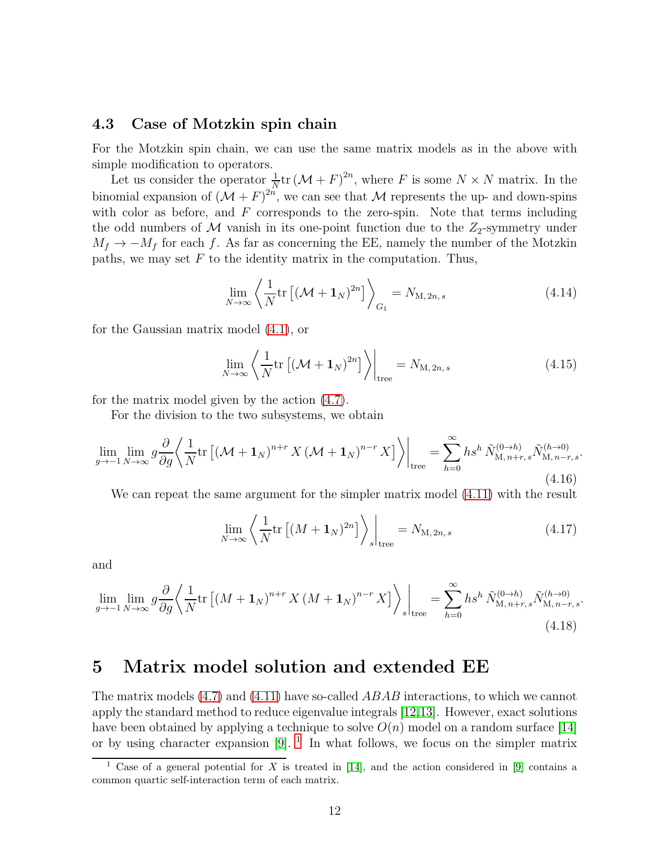### 4.3 Case of Motzkin spin chain

For the Motzkin spin chain, we can use the same matrix models as in the above with simple modification to operators.

Let us consider the operator  $\frac{1}{N}$ tr  $(\mathcal{M} + F)^{2n}$ , where F is some  $N \times N$  matrix. In the binomial expansion of  $(\mathcal{M} + F)^{2n}$ , we can see that  $\mathcal M$  represents the up- and down-spins with color as before, and  $F$  corresponds to the zero-spin. Note that terms including the odd numbers of  $M$  vanish in its one-point function due to the  $Z_2$ -symmetry under  $M_f \rightarrow -M_f$  for each f. As far as concerning the EE, namely the number of the Motzkin paths, we may set  $F$  to the identity matrix in the computation. Thus,

$$
\lim_{N \to \infty} \left\langle \frac{1}{N} \text{tr} \left[ \left( \mathcal{M} + \mathbf{1}_N \right)^{2n} \right] \right\rangle_{G_1} = N_{\mathcal{M}, 2n, s} \tag{4.14}
$$

for the Gaussian matrix model [\(4.1\)](#page-8-2), or

$$
\lim_{N \to \infty} \left\langle \frac{1}{N} \text{tr} \left[ \left( \mathcal{M} + \mathbf{1}_N \right)^{2n} \right] \right\rangle \bigg|_{\text{tree}} = N_{\text{M}, 2n, s} \tag{4.15}
$$

for the matrix model given by the action [\(4.7\)](#page-10-1).

For the division to the two subsystems, we obtain

$$
\lim_{g \to -1} \lim_{N \to \infty} g \frac{\partial}{\partial g} \left\langle \frac{1}{N} \text{tr} \left[ \left( \mathcal{M} + \mathbf{1}_N \right)^{n+r} X \left( \mathcal{M} + \mathbf{1}_N \right)^{n-r} X \right] \right\rangle \Big|_{\text{tree}} = \sum_{h=0}^{\infty} h s^h \, \tilde{N}_{M, n+r, s}^{(0 \to h)} \tilde{N}_{M, n-r, s}^{(h \to 0)}.
$$
\n(4.16)

We can repeat the same argument for the simpler matrix model [\(4.11\)](#page-11-1) with the result

<span id="page-12-2"></span>
$$
\lim_{N \to \infty} \left\langle \frac{1}{N} \text{tr} \left[ (M + \mathbf{1}_N)^{2n} \right] \right\rangle_s \bigg|_{\text{tree}} = N_{\text{M}, 2n, s} \tag{4.17}
$$

and

<span id="page-12-3"></span>
$$
\lim_{g \to -1} \lim_{N \to \infty} g \frac{\partial}{\partial g} \left\langle \frac{1}{N} \text{tr} \left[ \left( M + \mathbf{1}_N \right)^{n+r} X \left( M + \mathbf{1}_N \right)^{n-r} X \right] \right\rangle_s \bigg|_{\text{tree}} = \sum_{h=0}^{\infty} h s^h \, \tilde{N}_{M, n+r, s}^{(0 \to h)} \tilde{N}_{M, n-r, s}^{(h \to 0)}.
$$
\n(4.18)

# <span id="page-12-0"></span>5 Matrix model solution and extended EE

The matrix models [\(4.7\)](#page-10-1) and [\(4.11\)](#page-11-1) have so-called *ABAB* interactions, to which we cannot apply the standard method to reduce eigenvalue integrals [\[12,](#page-27-3)[13\]](#page-27-4). However, exact solutions have been obtained by applying a technique to solve  $O(n)$  model on a random surface [\[14\]](#page-27-5) or by using character expansion  $[9]$ . <sup>[1](#page-12-1)</sup> In what follows, we focus on the simpler matrix

<span id="page-12-1"></span><sup>&</sup>lt;sup>1</sup> Case of a general potential for X is treated in [\[14\]](#page-27-5), and the action considered in [\[9\]](#page-27-0) contains a common quartic self-interaction term of each matrix.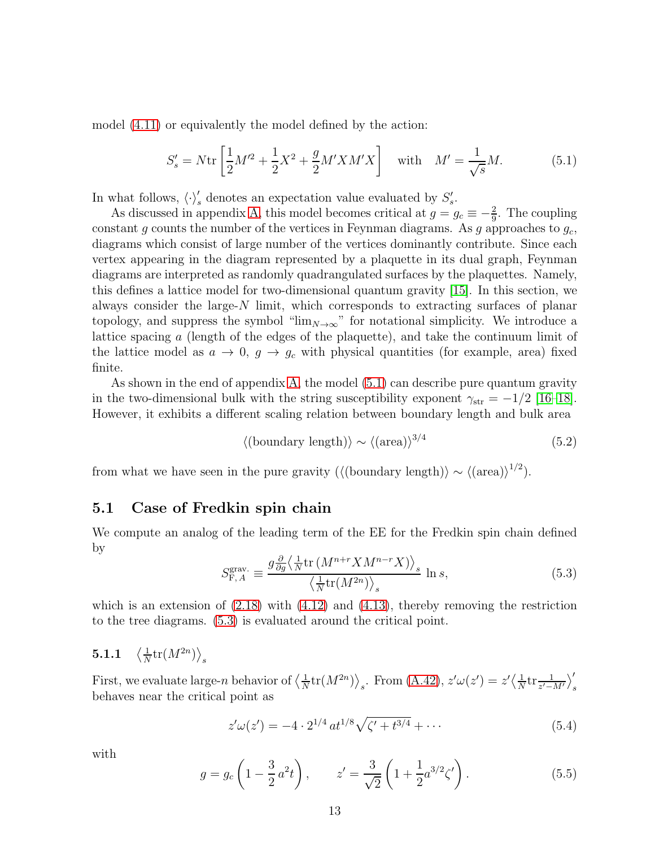model [\(4.11\)](#page-11-1) or equivalently the model defined by the action:

<span id="page-13-0"></span>
$$
S'_{s} = N \text{tr} \left[ \frac{1}{2} M'^{2} + \frac{1}{2} X^{2} + \frac{g}{2} M' X M' X \right] \quad \text{with} \quad M' = \frac{1}{\sqrt{s}} M. \tag{5.1}
$$

In what follows,  $\langle \cdot \rangle'_s$  denotes an expectation value evaluated by  $S'_s$ .

As discussed in appendix [A,](#page-18-0) this model becomes critical at  $g = g_c \equiv -\frac{2}{9}$ . The coupling constant g counts the number of the vertices in Feynman diagrams. As g approaches to  $g_c$ , diagrams which consist of large number of the vertices dominantly contribute. Since each vertex appearing in the diagram represented by a plaquette in its dual graph, Feynman diagrams are interpreted as randomly quadrangulated surfaces by the plaquettes. Namely, this defines a lattice model for two-dimensional quantum gravity [\[15\]](#page-27-6). In this section, we always consider the large-N limit, which corresponds to extracting surfaces of planar topology, and suppress the symbol " $\lim_{N\to\infty}$ " for notational simplicity. We introduce a lattice spacing a (length of the edges of the plaquette), and take the continuum limit of the lattice model as  $a \to 0$ ,  $g \to g_c$  with physical quantities (for example, area) fixed finite.

As shown in the end of appendix [A,](#page-18-0) the model [\(5.1\)](#page-13-0) can describe pure quantum gravity in the two-dimensional bulk with the string susceptibility exponent  $\gamma_{str} = -1/2$  [\[16–](#page-27-7)[18\]](#page-27-8). However, it exhibits a different scaling relation between boundary length and bulk area

$$
\langle \text{(boundary length)} \rangle \sim \langle (\text{area}) \rangle^{3/4}
$$
 (5.2)

from what we have seen in the pure gravity ( $\langle$ (boundary length)) ~  $\langle$ (area))<sup>1/2</sup>).

### 5.1 Case of Fredkin spin chain

We compute an analog of the leading term of the EE for the Fredkin spin chain defined by

<span id="page-13-1"></span>
$$
S_{\mathrm{F},A}^{\mathrm{grav}} \equiv \frac{g \frac{\partial}{\partial g} \left\langle \frac{1}{N} \mathrm{tr} \left( M^{n+r} X M^{n-r} X \right) \right\rangle_s}{\left\langle \frac{1}{N} \mathrm{tr} \left( M^{2n} \right) \right\rangle_s} \ln s,\tag{5.3}
$$

which is an extension of  $(2.18)$  with  $(4.12)$  and  $(4.13)$ , thereby removing the restriction to the tree diagrams. [\(5.3\)](#page-13-1) is evaluated around the critical point.

#### 5.1.1  $\overline{1}$  $\frac{1}{N}\mathrm{tr}(M^{2n})\big\rangle_{s}$

First, we evaluate large-*n* behavior of  $\left\langle \frac{1}{N} \right\rangle$  $\frac{1}{N}$ tr $(M^{2n})\rangle_s$ . From [\(A.42\)](#page-23-0),  $z'\omega(z')=z'\langle \frac{1}{N}\rangle_s$  $\frac{1}{N}$ tr $\frac{1}{z'-M'}\Big|_s'$ behaves near the critical point as

<span id="page-13-3"></span>
$$
z'\omega(z') = -4 \cdot 2^{1/4} \, at^{1/8} \sqrt{\zeta' + t^{3/4}} + \cdots \tag{5.4}
$$

with

<span id="page-13-2"></span>
$$
g = g_c \left( 1 - \frac{3}{2} a^2 t \right), \qquad z' = \frac{3}{\sqrt{2}} \left( 1 + \frac{1}{2} a^{3/2} \zeta' \right). \tag{5.5}
$$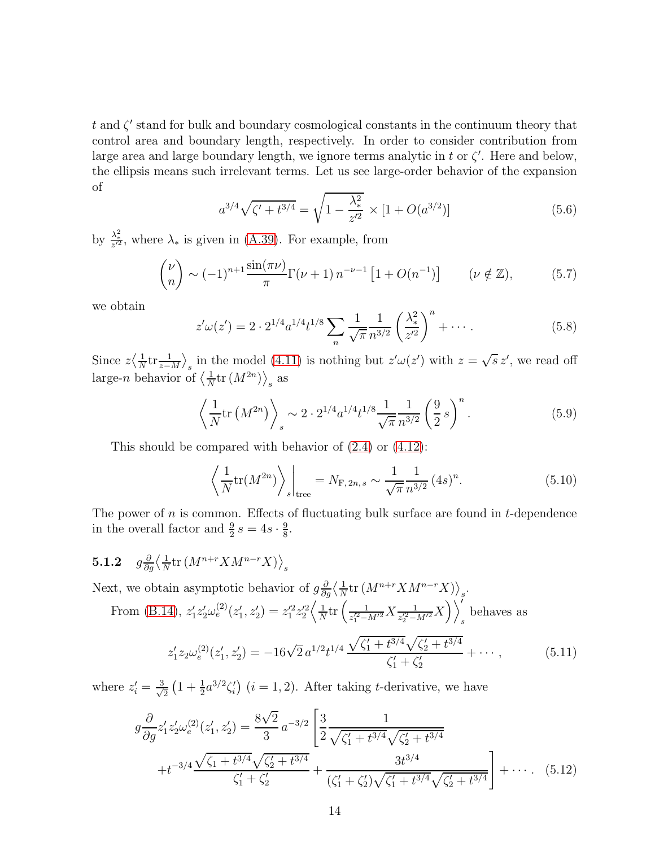t and  $\zeta'$  stand for bulk and boundary cosmological constants in the continuum theory that control area and boundary length, respectively. In order to consider contribution from large area and large boundary length, we ignore terms analytic in  $t$  or  $\zeta'$ . Here and below, the ellipsis means such irrelevant terms. Let us see large-order behavior of the expansion of

<span id="page-14-0"></span>
$$
a^{3/4}\sqrt{\zeta' + t^{3/4}} = \sqrt{1 - \frac{\lambda_*^2}{z'^2}} \times [1 + O(a^{3/2})]
$$
\n(5.6)

by  $\frac{\lambda^2}{z^2}$ , where  $\lambda_*$  is given in [\(A.39\)](#page-23-1). For example, from

$$
\binom{\nu}{n} \sim (-1)^{n+1} \frac{\sin(\pi \nu)}{\pi} \Gamma(\nu+1) n^{-\nu-1} \left[ 1 + O(n^{-1}) \right] \qquad (\nu \notin \mathbb{Z}), \tag{5.7}
$$

we obtain

$$
z'\omega(z') = 2 \cdot 2^{1/4} a^{1/4} t^{1/8} \sum_{n} \frac{1}{\sqrt{\pi}} \frac{1}{n^{3/2}} \left(\frac{\lambda_*^2}{z'^2}\right)^n + \cdots
$$
 (5.8)

Since  $z\left(\frac{1}{N}\right)$  $\frac{1}{N}$ tr $\frac{1}{z-M}$ , in the model [\(4.11\)](#page-11-1) is nothing but  $z'\omega(z')$  with  $z=\sqrt{s}z'$ , we read off large-*n* behavior of  $\left\langle \frac{1}{N} \right\rangle$  $\frac{1}{N}$ tr  $(M^{2n})\big\rangle_s$  as

<span id="page-14-1"></span>
$$
\left\langle \frac{1}{N} \text{tr}\left( M^{2n} \right) \right\rangle_s \sim 2 \cdot 2^{1/4} a^{1/4} t^{1/8} \frac{1}{\sqrt{\pi}} \frac{1}{n^{3/2}} \left( \frac{9}{2} s \right)^n. \tag{5.9}
$$

This should be compared with behavior of [\(2.4\)](#page-3-2) or [\(4.12\)](#page-11-3):

$$
\left\langle \frac{1}{N} \text{tr}(M^{2n}) \right\rangle_{s} \Big|_{\text{tree}} = N_{\text{F}, 2n, s} \sim \frac{1}{\sqrt{\pi}} \frac{1}{n^{3/2}} (4s)^{n}.
$$
 (5.10)

The power of  $n$  is common. Effects of fluctuating bulk surface are found in  $t$ -dependence in the overall factor and  $\frac{9}{2}s = 4s \cdot \frac{9}{8}$  $\frac{9}{8}$ .

5.1.2 
$$
g \frac{\partial}{\partial g} \left\langle \frac{1}{N} \text{tr} \left( M^{n+r} X M^{n-r} X \right) \right\rangle_s
$$

Next, we obtain asymptotic behavior of  $g\frac{\partial}{\partial g}\langle \frac{1}{N}\rangle$  $\frac{1}{N}$ tr  $(M^{n+r}XM^{n-r}X)\big\rangle_s$ .

From (B.14), 
$$
z'_1 z'_2 \omega_e^{(2)}(z'_1, z'_2) = z_1'^2 z_2'^2 \left\langle \frac{1}{N} \text{tr} \left( \frac{1}{z_1'^2 - M'^2} X \frac{1}{z_2'^2 - M'^2} X \right) \right\rangle_s'
$$
 behaves as

$$
z_1' z_2 \omega_e^{(2)}(z_1', z_2') = -16\sqrt{2} a^{1/2} t^{1/4} \frac{\sqrt{\zeta_1' + t^{3/4}} \sqrt{\zeta_2' + t^{3/4}}}{\zeta_1' + \zeta_2'} + \cdots, \qquad (5.11)
$$

where  $z'_i = \frac{3}{\sqrt{3}}$  $\frac{1}{2}(1+\frac{1}{2}a^{3/2}\zeta_i')$   $(i=1,2)$ . After taking t-derivative, we have

<span id="page-14-2"></span>
$$
g\frac{\partial}{\partial g}z_1'z_2'\omega_e^{(2)}(z_1',z_2') = \frac{8\sqrt{2}}{3}a^{-3/2}\left[\frac{3}{2}\frac{1}{\sqrt{\zeta_1'+t^{3/4}}\sqrt{\zeta_2'+t^{3/4}}}}{t_1'+t^{-3/4}\frac{\sqrt{\zeta_1'+t^{3/4}}\sqrt{\zeta_2'+t^{3/4}}}{\zeta_1'+\zeta_2'}+\frac{3t^{3/4}}{(\zeta_1'+\zeta_2')\sqrt{\zeta_1'+t^{3/4}}\sqrt{\zeta_2'+t^{3/4}}}\right]+\cdots (5.12)
$$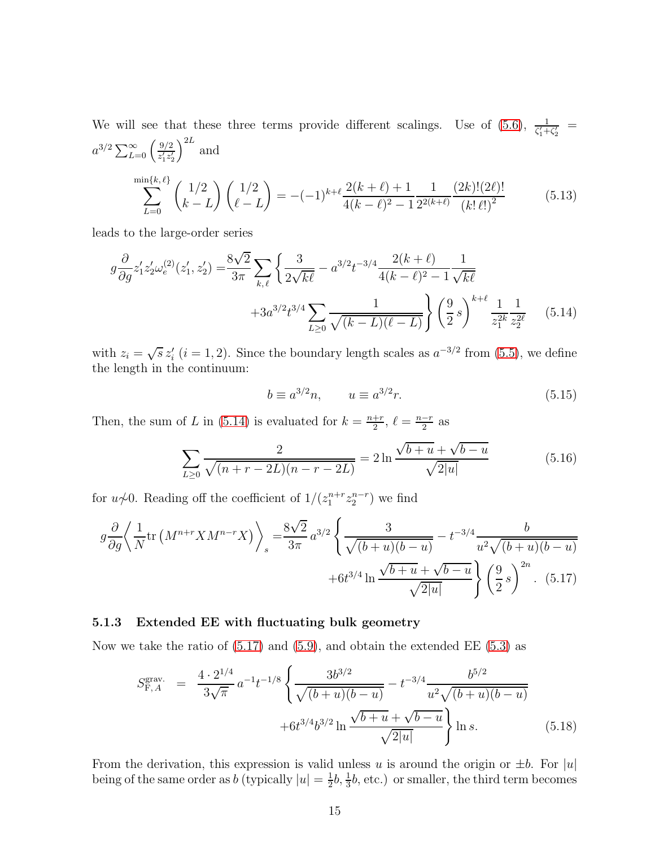We will see that these three terms provide different scalings. Use of [\(5.6\)](#page-14-0),  $\frac{1}{\zeta_1'+\zeta_2'}$  $a^{3/2} \sum_{L=0}^{\infty} \left( \frac{9/2}{z_1' z_2'} \right)$  $z_1'z_2'$  $\big)^{2L}$  and min  $\sum$  $\{k,\ell\}$  $_{L=0}$  $(1/2)$  $k - L$  $(1/2)$  $\ell-L$  $= -(-1)^{k+\ell} \frac{2(k+\ell)+1}{4(k-\ell)^2-1}$  $4(k-\ell)^2-1$ 1  $2^{2(k+\ell)}$  $(2k)!(2\ell)!$  $(k!\ell!)^2$ (5.13)

<span id="page-15-3"></span>leads to the large-order series

$$
g\frac{\partial}{\partial g}z_1'z_2'\omega_e^{(2)}(z_1',z_2') = \frac{8\sqrt{2}}{3\pi} \sum_{k,\ell} \left\{ \frac{3}{2\sqrt{k\ell}} - a^{3/2}t^{-3/4} \frac{2(k+\ell)}{4(k-\ell)^2 - 1} \frac{1}{\sqrt{k\ell}} + 3a^{3/2}t^{3/4} \sum_{L\geq 0} \frac{1}{\sqrt{(k-L)(\ell-L)}} \right\} \left(\frac{9}{2}s\right)^{k+\ell} \frac{1}{z_1^{2k}} \frac{1}{z_2^{2\ell}} \tag{5.14}
$$

with  $z_i = \sqrt{s} z'_i$   $(i = 1, 2)$ . Since the boundary length scales as  $a^{-3/2}$  from [\(5.5\)](#page-13-2), we define the length in the continuum:

<span id="page-15-4"></span><span id="page-15-1"></span><span id="page-15-0"></span>
$$
b \equiv a^{3/2}n, \qquad u \equiv a^{3/2}r. \tag{5.15}
$$

Then, the sum of L in [\(5.14\)](#page-15-0) is evaluated for  $k = \frac{n+r}{2}$  $\frac{1+r}{2}$ ,  $\ell = \frac{n-r}{2}$  as

$$
\sum_{L\geq 0} \frac{2}{\sqrt{(n+r-2L)(n-r-2L)}} = 2\ln\frac{\sqrt{b+u} + \sqrt{b-u}}{\sqrt{2|u|}} \tag{5.16}
$$

for  $u\not\sim 0$ . Reading off the coefficient of  $1/(z_1^{n+r}z_2^{n-r})$  we find

$$
g\frac{\partial}{\partial g}\left\langle \frac{1}{N}\text{tr}\left(M^{n+r}XM^{n-r}X\right) \right\rangle_{s} = \frac{8\sqrt{2}}{3\pi}a^{3/2}\left\{ \frac{3}{\sqrt{(b+u)(b-u)}} - t^{-3/4}\frac{b}{u^{2}\sqrt{(b+u)(b-u)}} + 6t^{3/4}\ln\frac{\sqrt{b+u}+\sqrt{b-u}}{\sqrt{2|u|}} \right\} \left(\frac{9}{2}s\right)^{2n}.
$$
 (5.17)

#### 5.1.3 Extended EE with fluctuating bulk geometry

Now we take the ratio of  $(5.17)$  and  $(5.9)$ , and obtain the extended EE  $(5.3)$  as

<span id="page-15-2"></span>
$$
S_{\mathrm{F},A}^{\mathrm{grav.}} = \frac{4 \cdot 2^{1/4}}{3\sqrt{\pi}} a^{-1} t^{-1/8} \left\{ \frac{3b^{3/2}}{\sqrt{(b+u)(b-u)}} - t^{-3/4} \frac{b^{5/2}}{u^2 \sqrt{(b+u)(b-u)}} + 6t^{3/4} b^{3/2} \ln \frac{\sqrt{b+u} + \sqrt{b-u}}{\sqrt{2|u|}} \right\} \ln s. \tag{5.18}
$$

From the derivation, this expression is valid unless u is around the origin or  $\pm b$ . For  $|u|$ being of the same order as b (typically  $|u| = \frac{1}{2}$  $\frac{1}{2}b$ ,  $\frac{1}{3}b$ , etc.) or smaller, the third term becomes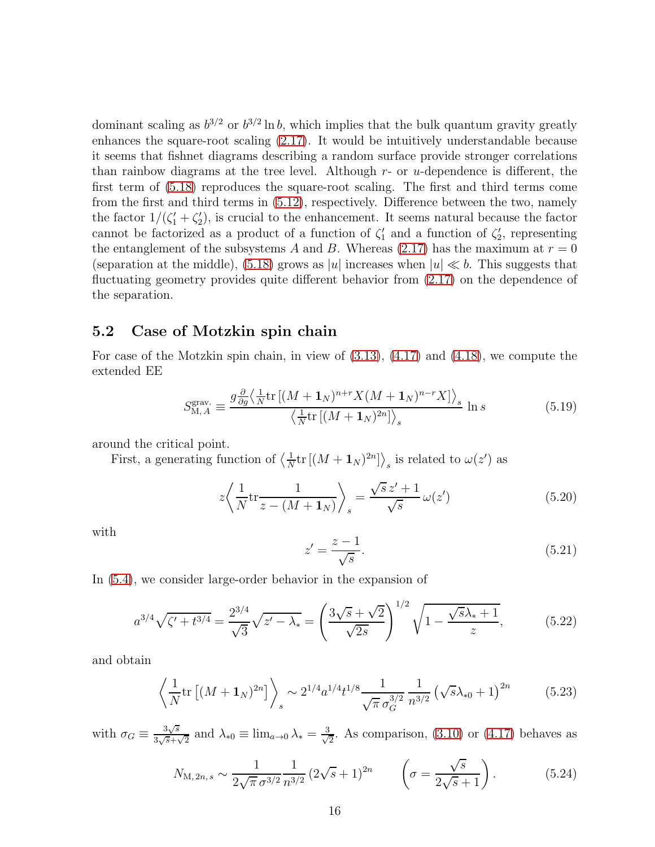dominant scaling as  $b^{3/2}$  or  $b^{3/2}$  ln b, which implies that the bulk quantum gravity greatly enhances the square-root scaling [\(2.17\)](#page-5-2). It would be intuitively understandable because it seems that fishnet diagrams describing a random surface provide stronger correlations than rainbow diagrams at the tree level. Although  $r$ - or  $u$ -dependence is different, the first term of [\(5.18\)](#page-15-2) reproduces the square-root scaling. The first and third terms come from the first and third terms in [\(5.12\)](#page-14-2), respectively. Difference between the two, namely the factor  $1/(\zeta_1 + \zeta_2)$ , is crucial to the enhancement. It seems natural because the factor cannot be factorized as a product of a function of  $\zeta_1'$  and a function of  $\zeta_2'$ , representing the entanglement of the subsystems A and B. Whereas [\(2.17\)](#page-5-2) has the maximum at  $r = 0$ (separation at the middle), [\(5.18\)](#page-15-2) grows as |u| increases when  $|u| \ll b$ . This suggests that fluctuating geometry provides quite different behavior from [\(2.17\)](#page-5-2) on the dependence of the separation.

### 5.2 Case of Motzkin spin chain

For case of the Motzkin spin chain, in view of [\(3.13\)](#page-8-3), [\(4.17\)](#page-12-2) and [\(4.18\)](#page-12-3), we compute the extended EE

$$
S_{\mathrm{M},A}^{\mathrm{grav}} \equiv \frac{g \frac{\partial}{\partial g} \left\langle \frac{1}{N} \mathrm{tr} \left[ (M + \mathbf{1}_N)^{n+r} X (M + \mathbf{1}_N)^{n-r} X \right] \right\rangle_s}{\left\langle \frac{1}{N} \mathrm{tr} \left[ (M + \mathbf{1}_N)^{2n} \right] \right\rangle_s} \ln s \tag{5.19}
$$

around the critical point.

First, a generating function of  $\left\langle \frac{1}{\Delta} \right\rangle$  $\frac{1}{N}$ tr  $[(M+1_N)^{2n}]$  s is related to  $\omega(z')$  as

$$
z \left\langle \frac{1}{N} \text{tr} \frac{1}{z - (M + \mathbf{1}_N)} \right\rangle_s = \frac{\sqrt{s} z' + 1}{\sqrt{s}} \omega(z')
$$
 (5.20)

with

$$
z' = \frac{z - 1}{\sqrt{s}}.\tag{5.21}
$$

In [\(5.4\)](#page-13-3), we consider large-order behavior in the expansion of

<span id="page-16-0"></span>
$$
a^{3/4}\sqrt{\zeta' + t^{3/4}} = \frac{2^{3/4}}{\sqrt{3}}\sqrt{z' - \lambda_*} = \left(\frac{3\sqrt{s} + \sqrt{2}}{\sqrt{2s}}\right)^{1/2}\sqrt{1 - \frac{\sqrt{s}\lambda_* + 1}{z}},\tag{5.22}
$$

and obtain

<span id="page-16-1"></span>
$$
\left\langle \frac{1}{N} \text{tr} \left[ (M + \mathbf{1}_N)^{2n} \right] \right\rangle_s \sim 2^{1/4} a^{1/4} t^{1/8} \frac{1}{\sqrt{\pi} \sigma_G^{3/2}} \frac{1}{n^{3/2}} \left( \sqrt{s} \lambda_{*0} + 1 \right)^{2n} \tag{5.23}
$$

with  $\sigma_G \equiv \frac{3\sqrt{s}}{3\sqrt{s}+\gamma}$  $\frac{3\sqrt{s}}{3\sqrt{s}+\sqrt{2}}$  and  $\lambda_{*0} \equiv \lim_{a\to 0} \lambda_* = \frac{3}{\sqrt{2}}$  $\frac{1}{2}$ . As comparison, [\(3.10\)](#page-7-3) or [\(4.17\)](#page-12-2) behaves as

$$
N_{\text{M},2n,s} \sim \frac{1}{2\sqrt{\pi} \,\sigma^{3/2}} \frac{1}{n^{3/2}} \left(2\sqrt{s} + 1\right)^{2n} \qquad \left(\sigma = \frac{\sqrt{s}}{2\sqrt{s} + 1}\right). \tag{5.24}
$$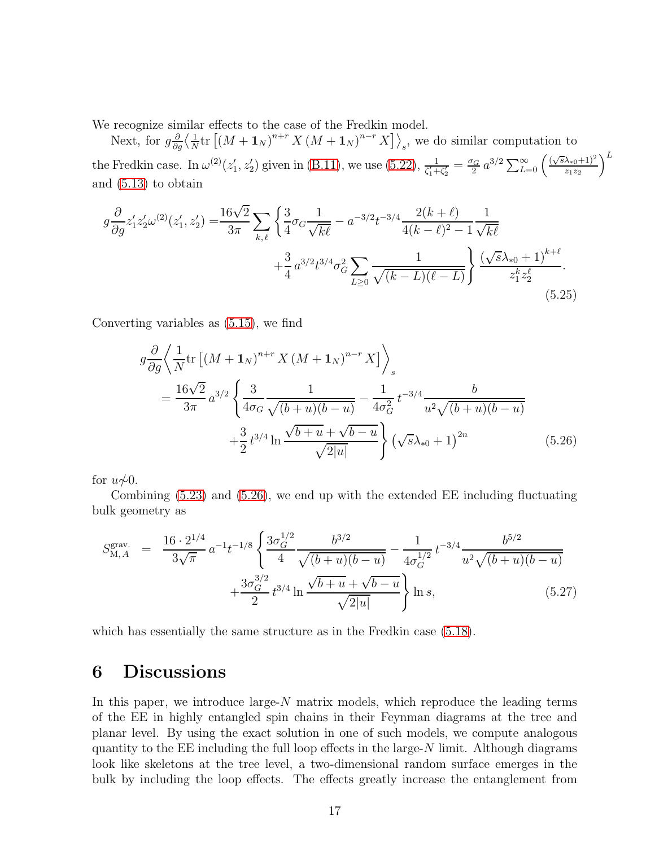We recognize similar effects to the case of the Fredkin model.

Next, for  $g\frac{\partial}{\partial x}$  $\frac{\partial}{\partial g}\Big\langle \frac{1}{N}$  $\frac{1}{N}$ tr  $[(M + \mathbf{1}_N)^{n+r} X (M + \mathbf{1}_N)^{n-r} X]$ , we do similar computation to the Fredkin case. In  $\omega^{(2)}(z_1', z_2')$  given in [\(B.11\)](#page-25-0), we use [\(5.22\)](#page-16-0),  $\frac{1}{\zeta_1'+\zeta_2'} = \frac{\sigma_G}{2}$  $\frac{q_G}{2} a^{3/2} \sum_{L=0}^{\infty} \left( \frac{(\sqrt{s} \lambda_{*0} + 1)^2}{z_1 z_2} \right)$  $z_1z_2$  $\setminus^L$ and [\(5.13\)](#page-15-3) to obtain

$$
g\frac{\partial}{\partial g}z_1'z_2'\omega^{(2)}(z_1',z_2') = \frac{16\sqrt{2}}{3\pi} \sum_{k,\ell} \left\{ \frac{3}{4}\sigma_G \frac{1}{\sqrt{kl}} - a^{-3/2}t^{-3/4} \frac{2(k+\ell)}{4(k-\ell)^2 - 1} \frac{1}{\sqrt{kl}} + \frac{3}{4}a^{3/2}t^{3/4}\sigma_G^2 \sum_{L\geq 0} \frac{1}{\sqrt{(k-L)(\ell-L)}} \right\} \frac{(\sqrt{s}\lambda_{*0}+1)^{k+\ell}}{z_1^k z_2^{\ell}}.
$$
\n(5.25)

Converting variables as [\(5.15\)](#page-15-4), we find

<span id="page-17-1"></span>
$$
g\frac{\partial}{\partial g}\left\langle\frac{1}{N}\text{tr}\left[\left(M+\mathbf{1}_{N}\right)^{n+r}X\left(M+\mathbf{1}_{N}\right)^{n-r}X\right]\right\rangle_{s}
$$
  
= 
$$
\frac{16\sqrt{2}}{3\pi}a^{3/2}\left\{\frac{3}{4\sigma_{G}}\frac{1}{\sqrt{(b+u)(b-u)}}-\frac{1}{4\sigma_{G}^{2}}t^{-3/4}\frac{b}{u^{2}\sqrt{(b+u)(b-u)}}\right.\newline+\frac{3}{2}t^{3/4}\ln\frac{\sqrt{b+u}+\sqrt{b-u}}{\sqrt{2|u|}}\left\{\left(\sqrt{s}\lambda_{*0}+1\right)^{2n}\right\}^{n} \tag{5.26}
$$

for  $u\not\sim 0$ .

Combining [\(5.23\)](#page-16-1) and [\(5.26\)](#page-17-1), we end up with the extended EE including fluctuating bulk geometry as

$$
S_{\text{M},A}^{\text{grav.}} = \frac{16 \cdot 2^{1/4}}{3\sqrt{\pi}} a^{-1} t^{-1/8} \left\{ \frac{3\sigma_G^{1/2}}{4} \frac{b^{3/2}}{\sqrt{(b+u)(b-u)}} - \frac{1}{4\sigma_G^{1/2}} t^{-3/4} \frac{b^{5/2}}{u^2 \sqrt{(b+u)(b-u)}} + \frac{3\sigma_G^{3/2}}{2} t^{3/4} \ln \frac{\sqrt{b+u} + \sqrt{b-u}}{\sqrt{2|u|}} \right\} \ln s, \tag{5.27}
$$

which has essentially the same structure as in the Fredkin case [\(5.18\)](#page-15-2).

# <span id="page-17-0"></span>6 Discussions

In this paper, we introduce large- $N$  matrix models, which reproduce the leading terms of the EE in highly entangled spin chains in their Feynman diagrams at the tree and planar level. By using the exact solution in one of such models, we compute analogous quantity to the  $EE$  including the full loop effects in the large- $N$  limit. Although diagrams look like skeletons at the tree level, a two-dimensional random surface emerges in the bulk by including the loop effects. The effects greatly increase the entanglement from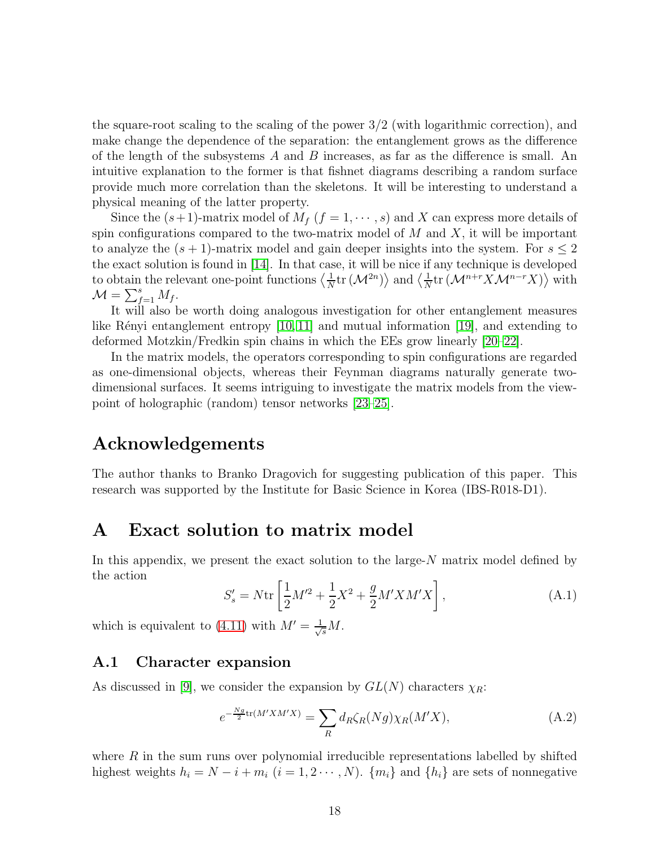the square-root scaling to the scaling of the power  $3/2$  (with logarithmic correction), and make change the dependence of the separation: the entanglement grows as the difference of the length of the subsystems  $A$  and  $B$  increases, as far as the difference is small. An intuitive explanation to the former is that fishnet diagrams describing a random surface provide much more correlation than the skeletons. It will be interesting to understand a physical meaning of the latter property.

Since the  $(s+1)$ -matrix model of  $M_f$   $(f = 1, \dots, s)$  and X can express more details of spin configurations compared to the two-matrix model of  $M$  and  $X$ , it will be important to analyze the  $(s + 1)$ -matrix model and gain deeper insights into the system. For  $s \leq 2$ the exact solution is found in [\[14\]](#page-27-5). In that case, it will be nice if any technique is developed to obtain the relevant one-point functions  $\langle \frac{1}{\lambda} \rangle$  $\frac{1}{N}$ tr  $(\mathcal{M}^{2n})\rangle$  and  $\langle \frac{1}{N}$  $\frac{1}{N}$ tr ( $\mathcal{M}^{n+r} X \mathcal{M}^{n-r} X$ ) $\rangle$  with  $\mathcal{M} = \sum_{f=1}^s M_f.$ 

It will also be worth doing analogous investigation for other entanglement measures like Rényi entanglement entropy  $[10, 11]$  $[10, 11]$  and mutual information  $[19]$ , and extending to deformed Motzkin/Fredkin spin chains in which the EEs grow linearly [\[20](#page-27-10)[–22\]](#page-27-11).

In the matrix models, the operators corresponding to spin configurations are regarded as one-dimensional objects, whereas their Feynman diagrams naturally generate twodimensional surfaces. It seems intriguing to investigate the matrix models from the viewpoint of holographic (random) tensor networks [\[23–](#page-27-12)[25\]](#page-28-0).

# Acknowledgements

The author thanks to Branko Dragovich for suggesting publication of this paper. This research was supported by the Institute for Basic Science in Korea (IBS-R018-D1).

# <span id="page-18-0"></span>A Exact solution to matrix model

In this appendix, we present the exact solution to the large- $N$  matrix model defined by the action

<span id="page-18-2"></span>
$$
S'_{s} = N \text{tr} \left[ \frac{1}{2} M'^{2} + \frac{1}{2} X^{2} + \frac{g}{2} M' X M' X \right], \tag{A.1}
$$

which is equivalent to [\(4.11\)](#page-11-1) with  $M' = \frac{1}{\sqrt{s}}M$ .

### A.1 Character expansion

As discussed in [\[9\]](#page-27-0), we consider the expansion by  $GL(N)$  characters  $\chi_R$ :

<span id="page-18-1"></span>
$$
e^{-\frac{Ng}{2}\text{tr}(M'XM'X)} = \sum_{R} d_R \zeta_R(Ng) \chi_R(M'X),\tag{A.2}
$$

where  $R$  in the sum runs over polynomial irreducible representations labelled by shifted highest weights  $h_i = N - i + m_i$   $(i = 1, 2 \cdots, N)$ .  $\{m_i\}$  and  $\{h_i\}$  are sets of nonnegative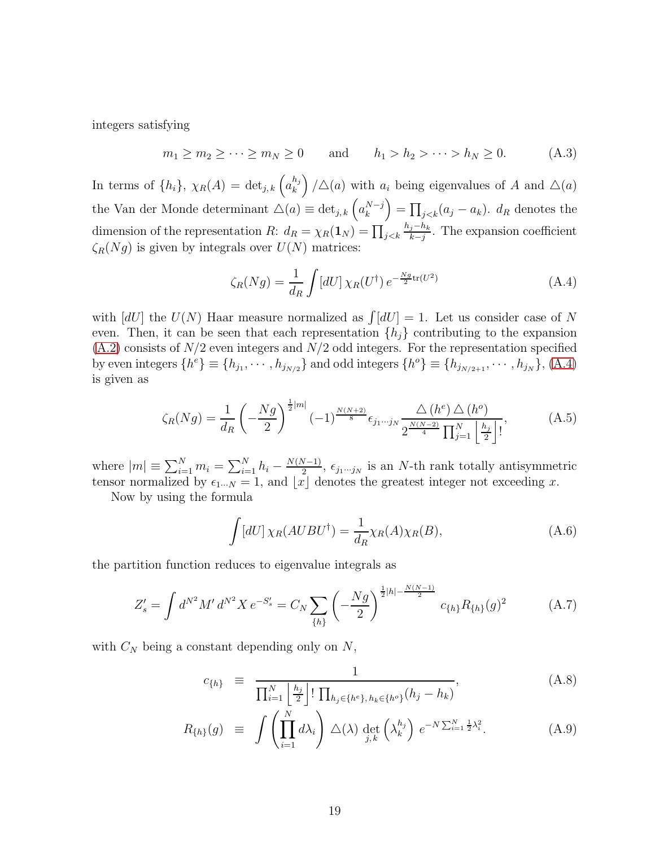integers satisfying

$$
m_1 \ge m_2 \ge \cdots \ge m_N \ge 0
$$
 and  $h_1 > h_2 > \cdots > h_N \ge 0.$  (A.3)

In terms of  $\{h_i\}$ ,  $\chi_R(A) = \det_{j,k} \left( a_k^{h_j} \right)$  $\binom{h_j}{k}$  /  $\Delta(a)$  with  $a_i$  being eigenvalues of A and  $\Delta(a)$ the Van der Monde determinant  $\Delta(a) \equiv \det_{j,k} \left( a_k^{N-j} \right) = \prod_{j < k} (a_j - a_k)$ .  $d_R$  denotes the dimension of the representation R:  $d_R = \chi_R(\mathbf{1}_N) = \prod_{j < k} \frac{h_j - h_k}{k - j}$  $\frac{j-n_k}{k-j}$ . The expansion coefficient  $\zeta_R(Ng)$  is given by integrals over  $U(N)$  matrices:

<span id="page-19-0"></span>
$$
\zeta_R(Ng) = \frac{1}{d_R} \int [dU] \,\chi_R(U^\dagger) \, e^{-\frac{Ng}{2}\text{tr}(U^2)} \tag{A.4}
$$

with  $[dU]$  the  $U(N)$  Haar measure normalized as  $\int [dU] = 1$ . Let us consider case of N even. Then, it can be seen that each representation  $\{h_i\}$  contributing to the expansion  $(A.2)$  consists of  $N/2$  even integers and  $N/2$  odd integers. For the representation specified by even integers  $\{h^e\} \equiv \{h_{j_1}, \cdots, h_{j_{N/2}}\}$  and odd integers  $\{h^o\} \equiv \{h_{j_{N/2+1}}, \cdots, h_{j_N}\}$ ,  $(A.4)$ is given as

$$
\zeta_R(Ng) = \frac{1}{d_R} \left( -\frac{Ng}{2} \right)^{\frac{1}{2}|m|} (-1)^{\frac{N(N+2)}{8}} \epsilon_{j_1 \cdots j_N} \frac{\triangle (h^e) \triangle (h^o)}{2^{\frac{N(N-2)}{4}} \prod_{j=1}^N \left\lfloor \frac{h_j}{2} \right\rfloor!},\tag{A.5}
$$

where  $|m| \equiv \sum_{i=1}^{N} m_i = \sum_{i=1}^{N} h_i - \frac{N(N-1)}{2}$ ,  $\epsilon_{j_1\cdots j_N}$  is an N-th rank totally antisymmetric tensor normalized by  $\epsilon_{1\cdots N} = 1$ , and  $\lfloor x \rfloor$  denotes the greatest integer not exceeding x.

Now by using the formula

$$
\int [dU] \chi_R(AUBU^{\dagger}) = \frac{1}{d_R} \chi_R(A) \chi_R(B), \tag{A.6}
$$

the partition function reduces to eigenvalue integrals as

<span id="page-19-2"></span>
$$
Z_s' = \int d^{N^2} M' d^{N^2} X e^{-S_s'} = C_N \sum_{\{h\}} \left( -\frac{Ng}{2} \right)^{\frac{1}{2}|h| - \frac{N(N-1)}{2}} c_{\{h\}} R_{\{h\}}(g)^2 \tag{A.7}
$$

with  $C_N$  being a constant depending only on  $N$ ,

<span id="page-19-1"></span>
$$
c_{\{h\}} \equiv \frac{1}{\prod_{i=1}^{N} \left\lfloor \frac{h_j}{2} \right\rfloor! \prod_{h_j \in \{h^e\}, h_k \in \{h^o\}} (h_j - h_k)}, \tag{A.8}
$$

$$
R_{\{h\}}(g) \equiv \int \left(\prod_{i=1}^N d\lambda_i\right) \Delta(\lambda) \det_{j,k} \left(\lambda_k^{h_j}\right) e^{-N\sum_{i=1}^N \frac{1}{2}\lambda_i^2}.
$$
 (A.9)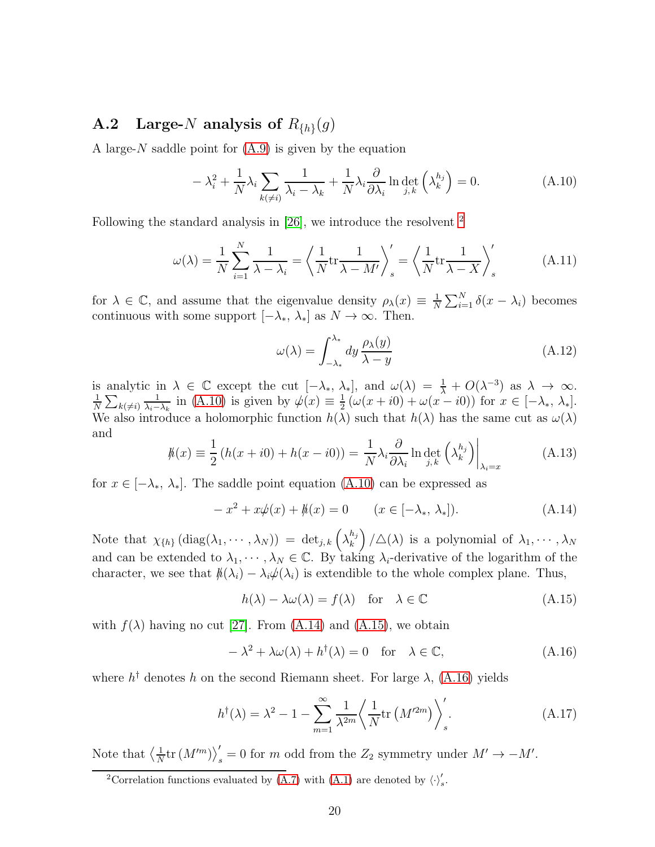# **A.2** Large-N analysis of  $R_{\{h\}}(g)$

A large- $N$  saddle point for  $(A.9)$  is given by the equation

<span id="page-20-1"></span>
$$
-\lambda_i^2 + \frac{1}{N}\lambda_i \sum_{k(\neq i)} \frac{1}{\lambda_i - \lambda_k} + \frac{1}{N}\lambda_i \frac{\partial}{\partial \lambda_i} \ln \det_{j,k} \left(\lambda_k^{h_j}\right) = 0.
$$
 (A.10)

Following the standard analysis in [\[26\]](#page-28-1), we introduce the resolvent [2](#page-20-0)

$$
\omega(\lambda) = \frac{1}{N} \sum_{i=1}^{N} \frac{1}{\lambda - \lambda_i} = \left\langle \frac{1}{N} \text{tr} \frac{1}{\lambda - M'} \right\rangle_s' = \left\langle \frac{1}{N} \text{tr} \frac{1}{\lambda - X} \right\rangle_s' \tag{A.11}
$$

for  $\lambda \in \mathbb{C}$ , and assume that the eigenvalue density  $\rho_{\lambda}(x) \equiv \frac{1}{N}$  $\frac{1}{N} \sum_{i=1}^{N} \delta(x - \lambda_i)$  becomes continuous with some support  $[-\lambda_*, \lambda_*]$  as  $N \to \infty$ . Then.

$$
\omega(\lambda) = \int_{-\lambda_*}^{\lambda_*} dy \, \frac{\rho_{\lambda}(y)}{\lambda - y} \tag{A.12}
$$

is analytic in  $\lambda \in \mathbb{C}$  except the cut  $[-\lambda_*, \lambda_*]$ , and  $\omega(\lambda) = \frac{1}{\lambda} + O(\lambda^{-3})$  as  $\lambda \to \infty$ .<br>  $\frac{1}{\lambda} \sum_{n=1}^{\infty} \frac{1}{n} \sin(\lambda 10)$  is given by  $\psi(x) = \frac{1}{\lambda} (\omega(x + i0) + \omega(x - i0))$  for  $x \in [-\lambda, \lambda]$  $\frac{1}{N} \sum_{k(\neq i)}$ 1  $\frac{1}{\lambda_i-\lambda_k}$  in [\(A.10\)](#page-20-1) is given by  $\psi(x) \equiv \frac{1}{2}$  $\frac{1}{2}(\omega(x+i0)+\omega(x-i0))$  for  $x \in [-\lambda_*, \lambda_*]$ . We also introduce a holomorphic function  $h(\lambda)$  such that  $h(\lambda)$  has the same cut as  $\omega(\lambda)$ and

$$
\hbar(x) \equiv \frac{1}{2} \left( h(x + i0) + h(x - i0) \right) = \frac{1}{N} \lambda_i \frac{\partial}{\partial \lambda_i} \ln \det_{j,k} \left( \lambda_k^{h_j} \right) \Big|_{\lambda_i = x}
$$
\n(A.13)

for  $x \in [-\lambda_*, \lambda_*]$ . The saddle point equation [\(A.10\)](#page-20-1) can be expressed as

<span id="page-20-2"></span>
$$
-x^{2} + x\psi(x) + \hbar(x) = 0 \qquad (x \in [-\lambda_{*}, \lambda_{*}]).
$$
 (A.14)

Note that  $\chi_{\{h\}}\left(\text{diag}(\lambda_1,\cdots,\lambda_N)\right) = \det_{j,k}\left(\lambda_k^{h_j}\right)$  $\binom{h_j}{k}$  /  $\triangle(\lambda)$  is a polynomial of  $\lambda_1, \cdots, \lambda_N$ and can be extended to  $\lambda_1, \dots, \lambda_N \in \mathbb{C}$ . By taking  $\lambda_i$ -derivative of the logarithm of the character, we see that  $\phi(\lambda_i) - \lambda_i \phi(\lambda_i)$  is extendible to the whole complex plane. Thus,

<span id="page-20-3"></span>
$$
h(\lambda) - \lambda \omega(\lambda) = f(\lambda) \quad \text{for} \quad \lambda \in \mathbb{C}
$$
 (A.15)

with  $f(\lambda)$  having no cut [\[27\]](#page-28-2). From [\(A.14\)](#page-20-2) and [\(A.15\)](#page-20-3), we obtain

<span id="page-20-4"></span>
$$
-\lambda^2 + \lambda \omega(\lambda) + h^{\dagger}(\lambda) = 0 \quad \text{for} \quad \lambda \in \mathbb{C}, \tag{A.16}
$$

where  $h^{\dagger}$  denotes h on the second Riemann sheet. For large  $\lambda$ , [\(A.16\)](#page-20-4) yields

<span id="page-20-5"></span>
$$
h^{\dagger}(\lambda) = \lambda^2 - 1 - \sum_{m=1}^{\infty} \frac{1}{\lambda^{2m}} \left\langle \frac{1}{N} \text{tr}\left(M'^{2m}\right) \right\rangle_s'.
$$
 (A.17)

Note that  $\langle \frac{1}{\Lambda} \rangle$  $\frac{1}{N}$ tr  $(M^{\prime m})_{s}^{\prime}=0$  for m odd from the  $Z_{2}$  symmetry under  $M^{\prime}\rightarrow-M^{\prime}$ .

<span id="page-20-0"></span><sup>&</sup>lt;sup>2</sup>Correlation functions evaluated by  $(\overline{A}.7)$  with  $(A.1)$  are denoted by  $\langle \cdot \rangle_s'$ .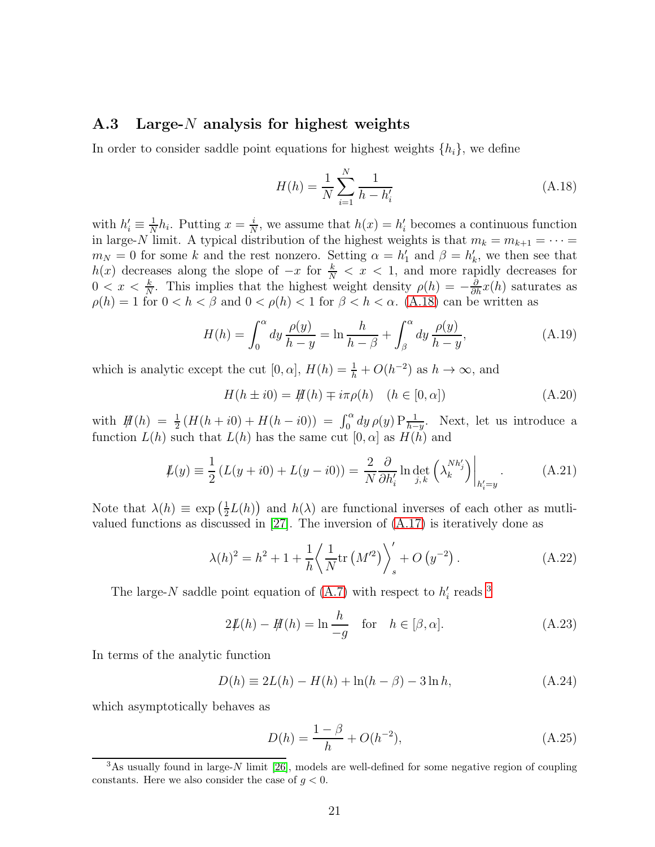### A.3 Large- $N$  analysis for highest weights

In order to consider saddle point equations for highest weights  $\{h_i\}$ , we define

<span id="page-21-0"></span>
$$
H(h) = \frac{1}{N} \sum_{i=1}^{N} \frac{1}{h - h'_i}
$$
\n(A.18)

with  $h'_i \equiv \frac{1}{N}$  $\frac{1}{N}h_i$ . Putting  $x=\frac{i}{N}$  $\frac{i}{N}$ , we assume that  $h(x) = h'_i$  becomes a continuous function in large-N limit. A typical distribution of the highest weights is that  $m_k = m_{k+1} = \cdots =$  $m_N = 0$  for some k and the rest nonzero. Setting  $\alpha = h'_1$  and  $\beta = h'_k$ , we then see that  $h(x)$  decreases along the slope of  $-x$  for  $\frac{k}{N} < x < 1$ , and more rapidly decreases for  $0 < x < \frac{k}{N}$ . This implies that the highest weight density  $\rho(h) = -\frac{\partial}{\partial h}x(h)$  saturates as  $\rho(h) = 1$  for  $0 < h < \beta$  and  $0 < \rho(h) < 1$  for  $\beta < h < \alpha$ . [\(A.18\)](#page-21-0) can be written as

$$
H(h) = \int_0^\alpha dy \frac{\rho(y)}{h - y} = \ln \frac{h}{h - \beta} + \int_\beta^\alpha dy \frac{\rho(y)}{h - y},
$$
\n(A.19)

which is analytic except the cut  $[0, \alpha]$ ,  $H(h) = \frac{1}{h} + O(h^{-2})$  as  $h \to \infty$ , and

$$
H(h \pm i0) = H(h) \mp i\pi\rho(h) \quad (h \in [0, \alpha])
$$
\n(A.20)

with  $H(h) = \frac{1}{2}(H(h + i0) + H(h - i0)) = \int_0^\alpha dy \, \rho(y) P_{\overline{h-y}}^1$ . Next, let us introduce a function  $L(h)$  such that  $L(h)$  has the same cut  $[0, \alpha]$  as  $H(h)$  and

$$
\mathcal{L}(y) \equiv \frac{1}{2} \left( L(y + i0) + L(y - i0) \right) = \frac{2}{N} \frac{\partial}{\partial h'_i} \ln \det_{j,k} \left( \lambda_k^{N h'_j} \right) \Big|_{h'_i = y} . \tag{A.21}
$$

Note that  $\lambda(h) \equiv \exp\left(\frac{1}{2}\right)$  $\frac{1}{2}L(h)$  and  $h(\lambda)$  are functional inverses of each other as mutlivalued functions as discussed in [\[27\]](#page-28-2). The inversion of [\(A.17\)](#page-20-5) is iteratively done as

$$
\lambda(h)^{2} = h^{2} + 1 + \frac{1}{h} \left\langle \frac{1}{N} \text{tr}\left(M'^{2}\right) \right\rangle_{s}^{\prime} + O\left(y^{-2}\right). \tag{A.22}
$$

The large-N saddle point equation of  $(A.7)$  with respect to  $h'_i$  reads <sup>[3](#page-21-1)</sup>

<span id="page-21-2"></span>
$$
2\mathcal{L}(h) - \mathcal{H}(h) = \ln \frac{h}{-g} \quad \text{for} \quad h \in [\beta, \alpha]. \tag{A.23}
$$

In terms of the analytic function

$$
D(h) \equiv 2L(h) - H(h) + \ln(h - \beta) - 3\ln h,
$$
 (A.24)

which asymptotically behaves as

<span id="page-21-3"></span>
$$
D(h) = \frac{1 - \beta}{h} + O(h^{-2}),
$$
\n(A.25)

<span id="page-21-1"></span> $3$ As usually found in large-N limit [\[26\]](#page-28-1), models are well-defined for some negative region of coupling constants. Here we also consider the case of  $g < 0$ .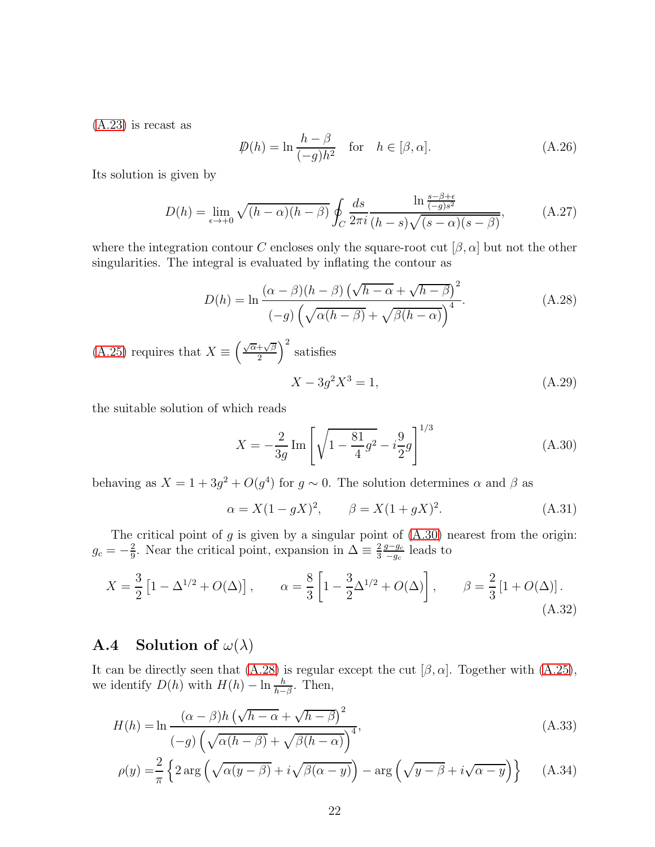[\(A.23\)](#page-21-2) is recast as

$$
\mathcal{D}(h) = \ln \frac{h - \beta}{(-g)h^2} \quad \text{for} \quad h \in [\beta, \alpha]. \tag{A.26}
$$

Its solution is given by

$$
D(h) = \lim_{\epsilon \to +0} \sqrt{(h-\alpha)(h-\beta)} \oint_C \frac{ds}{2\pi i} \frac{\ln \frac{s-\beta+\epsilon}{(-g)s^2}}{(h-s)\sqrt{(s-\alpha)(s-\beta)}},\tag{A.27}
$$

where the integration contour C encloses only the square-root cut  $[\beta, \alpha]$  but not the other singularities. The integral is evaluated by inflating the contour as

<span id="page-22-1"></span>
$$
D(h) = \ln \frac{(\alpha - \beta)(h - \beta) (\sqrt{h - \alpha} + \sqrt{h - \beta})^2}{(-g) (\sqrt{\alpha(h - \beta)} + \sqrt{\beta(h - \alpha)})^4}.
$$
 (A.28)

[\(A.25\)](#page-21-3) requires that  $X \equiv \left(\frac{\sqrt{\alpha} + \sqrt{\beta}}{2}\right)$  $\frac{+\sqrt{\beta}}{2}$  satisfies

$$
X - 3g^2X^3 = 1,
$$
\n(A.29)

the suitable solution of which reads

<span id="page-22-0"></span>
$$
X = -\frac{2}{3g} \operatorname{Im} \left[ \sqrt{1 - \frac{81}{4}g^2} - i \frac{9}{2}g \right]^{1/3}
$$
 (A.30)

behaving as  $X = 1 + 3g^2 + O(g^4)$  for  $g \sim 0$ . The solution determines  $\alpha$  and  $\beta$  as

<span id="page-22-2"></span>
$$
\alpha = X(1 - gX)^2, \qquad \beta = X(1 + gX)^2. \tag{A.31}
$$

The critical point of  $g$  is given by a singular point of  $(A.30)$  nearest from the origin:  $g_c = -\frac{2}{9}$  $\frac{2}{9}$ . Near the critical point, expansion in  $\Delta \equiv \frac{2}{3}$  $\frac{2}{3} \frac{g - g_c}{-g_c}$  $\frac{g-g_c}{-g_c}$  leads to

$$
X = \frac{3}{2} \left[ 1 - \Delta^{1/2} + O(\Delta) \right], \qquad \alpha = \frac{8}{3} \left[ 1 - \frac{3}{2} \Delta^{1/2} + O(\Delta) \right], \qquad \beta = \frac{2}{3} \left[ 1 + O(\Delta) \right].
$$
\n(A.32)

### **A.4** Solution of  $\omega(\lambda)$

It can be directly seen that [\(A.28\)](#page-22-1) is regular except the cut  $[\beta, \alpha]$ . Together with [\(A.25\)](#page-21-3), we identify  $D(h)$  with  $H(h) - \ln \frac{h}{h-\beta}$ . Then,

$$
H(h) = \ln \frac{(\alpha - \beta)h(\sqrt{h - \alpha} + \sqrt{h - \beta})^2}{(-g)(\sqrt{\alpha(h - \beta)} + \sqrt{\beta(h - \alpha)})^4},
$$
\n(A.33)

$$
\rho(y) = \frac{2}{\pi} \left\{ 2 \arg \left( \sqrt{\alpha(y - \beta)} + i \sqrt{\beta(\alpha - y)} \right) - \arg \left( \sqrt{y - \beta} + i \sqrt{\alpha - y} \right) \right\} \tag{A.34}
$$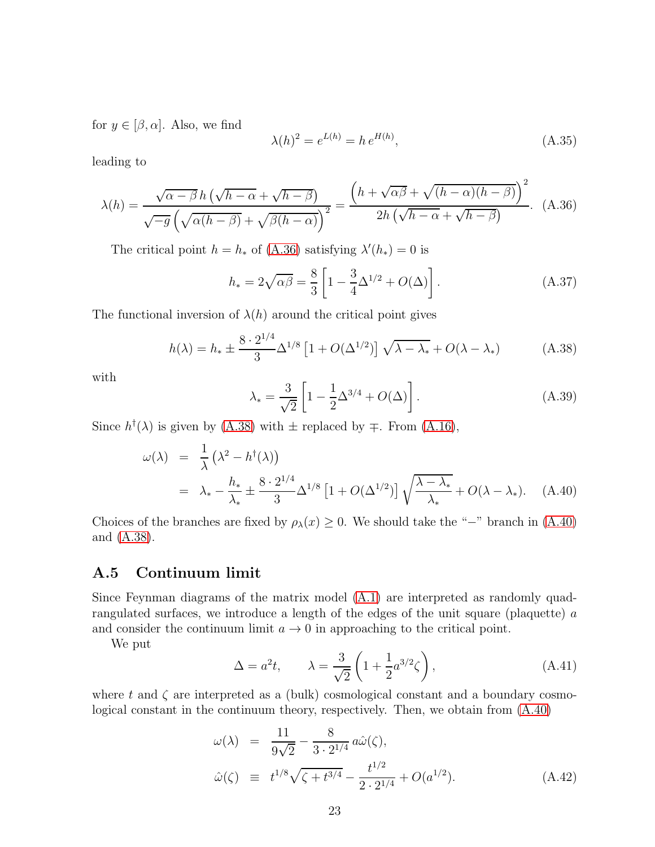for  $y \in [\beta, \alpha]$ . Also, we find

$$
\lambda(h)^2 = e^{L(h)} = h \, e^{H(h)},\tag{A.35}
$$

leading to

<span id="page-23-2"></span>
$$
\lambda(h) = \frac{\sqrt{\alpha - \beta}h(\sqrt{h - \alpha} + \sqrt{h - \beta})}{\sqrt{-g}(\sqrt{\alpha(h - \beta)} + \sqrt{\beta(h - \alpha)})^2} = \frac{\left(h + \sqrt{\alpha\beta} + \sqrt{(h - \alpha)(h - \beta)}\right)^2}{2h(\sqrt{h - \alpha} + \sqrt{h - \beta})}.
$$
 (A.36)

The critical point  $h = h_*$  of [\(A.36\)](#page-23-2) satisfying  $\lambda'(h_*) = 0$  is

$$
h_* = 2\sqrt{\alpha\beta} = \frac{8}{3} \left[ 1 - \frac{3}{4} \Delta^{1/2} + O(\Delta) \right].
$$
 (A.37)

The functional inversion of  $\lambda(h)$  around the critical point gives

<span id="page-23-3"></span>
$$
h(\lambda) = h_* \pm \frac{8 \cdot 2^{1/4}}{3} \Delta^{1/8} \left[ 1 + O(\Delta^{1/2}) \right] \sqrt{\lambda - \lambda_*} + O(\lambda - \lambda_*) \tag{A.38}
$$

with

<span id="page-23-1"></span>
$$
\lambda_* = \frac{3}{\sqrt{2}} \left[ 1 - \frac{1}{2} \Delta^{3/4} + O(\Delta) \right].
$$
 (A.39)

Since  $h^{\dagger}(\lambda)$  is given by [\(A.38\)](#page-23-3) with  $\pm$  replaced by  $\mp$ . From [\(A.16\)](#page-20-4),

<span id="page-23-4"></span>
$$
\omega(\lambda) = \frac{1}{\lambda} \left( \lambda^2 - h^\dagger(\lambda) \right)
$$
  
=  $\lambda_* - \frac{h_*}{\lambda_*} \pm \frac{8 \cdot 2^{1/4}}{3} \Delta^{1/8} \left[ 1 + O(\Delta^{1/2}) \right] \sqrt{\frac{\lambda - \lambda_*}{\lambda_*}} + O(\lambda - \lambda_*). \quad (A.40)$ 

Choices of the branches are fixed by  $\rho_{\lambda}(x) \geq 0$ . We should take the "−" branch in [\(A.40\)](#page-23-4) and [\(A.38\)](#page-23-3).

# A.5 Continuum limit

Since Feynman diagrams of the matrix model [\(A.1\)](#page-18-2) are interpreted as randomly quadrangulated surfaces, we introduce a length of the edges of the unit square (plaquette) a and consider the continuum limit  $a \to 0$  in approaching to the critical point.

We put

$$
\Delta = a^2 t, \qquad \lambda = \frac{3}{\sqrt{2}} \left( 1 + \frac{1}{2} a^{3/2} \zeta \right), \tag{A.41}
$$

where t and  $\zeta$  are interpreted as a (bulk) cosmological constant and a boundary cosmological constant in the continuum theory, respectively. Then, we obtain from [\(A.40\)](#page-23-4)

<span id="page-23-0"></span>
$$
\omega(\lambda) = \frac{11}{9\sqrt{2}} - \frac{8}{3 \cdot 2^{1/4}} a\hat{\omega}(\zeta),
$$
  
\n
$$
\hat{\omega}(\zeta) \equiv t^{1/8} \sqrt{\zeta + t^{3/4}} - \frac{t^{1/2}}{2 \cdot 2^{1/4}} + O(a^{1/2}).
$$
\n(A.42)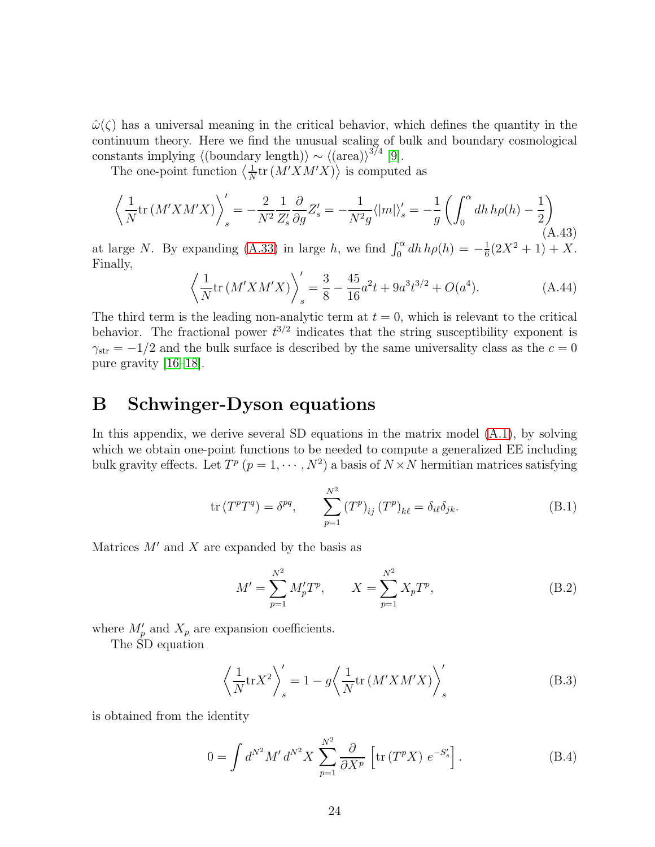$\hat{\omega}(\zeta)$  has a universal meaning in the critical behavior, which defines the quantity in the continuum theory. Here we find the unusual scaling of bulk and boundary cosmological constants implying  $\langle$ (boundary length) $\rangle \sim \langle$ (area) $\rangle^{3/4}$  [\[9\]](#page-27-0).

The one-point function  $\left\langle \frac{1}{N} \right\rangle$  $\frac{1}{N}$ tr  $(M'X M'X)$  is computed as

$$
\left\langle \frac{1}{N} \text{tr} \left( M' X M' X \right) \right\rangle_s' = -\frac{2}{N^2} \frac{1}{Z'_s} \frac{\partial}{\partial g} Z'_s = -\frac{1}{N^2 g} \langle |m| \rangle_s' = -\frac{1}{g} \left( \int_0^\alpha dh \, h \rho(h) - \frac{1}{2} \right) \tag{A.43}
$$

at large N. By expanding [\(A.33\)](#page-22-2) in large h, we find  $\int_0^{\alpha} dh h \rho(h) = -\frac{1}{6}$  $\frac{1}{6}(2X^2+1)+X.$ Finally,

<span id="page-24-1"></span>
$$
\left\langle \frac{1}{N} \text{tr} \left( M' X M' X \right) \right\rangle_s' = \frac{3}{8} - \frac{45}{16} a^2 t + 9 a^3 t^{3/2} + O(a^4). \tag{A.44}
$$

The third term is the leading non-analytic term at  $t = 0$ , which is relevant to the critical behavior. The fractional power  $t^{3/2}$  indicates that the string susceptibility exponent is  $\gamma_{\rm str} = -1/2$  and the bulk surface is described by the same universality class as the  $c = 0$ pure gravity [\[16–](#page-27-7)[18\]](#page-27-8).

# <span id="page-24-0"></span>B Schwinger-Dyson equations

In this appendix, we derive several SD equations in the matrix model  $(A.1)$ , by solving which we obtain one-point functions to be needed to compute a generalized  $EE$  including bulk gravity effects. Let  $T^p$   $(p = 1, \cdots, N^2)$  a basis of  $N \times N$  hermitian matrices satisfying

$$
\operatorname{tr}(T^p T^q) = \delta^{pq}, \qquad \sum_{p=1}^{N^2} (T^p)_{ij} (T^p)_{k\ell} = \delta_{i\ell} \delta_{jk}.
$$
 (B.1)

Matrices  $M'$  and X are expanded by the basis as

$$
M' = \sum_{p=1}^{N^2} M'_p T^p, \qquad X = \sum_{p=1}^{N^2} X_p T^p,
$$
 (B.2)

where  $M'_p$  and  $X_p$  are expansion coefficients.

The SD equation

$$
\left\langle \frac{1}{N} \text{tr} X^2 \right\rangle_s' = 1 - g \left\langle \frac{1}{N} \text{tr} \left( M' X M' X \right) \right\rangle_s' \tag{B.3}
$$

is obtained from the identity

$$
0 = \int d^{N^2} M' d^{N^2} X \sum_{p=1}^{N^2} \frac{\partial}{\partial X^p} \left[ \text{tr} \left( T^p X \right) e^{-S'_s} \right]. \tag{B.4}
$$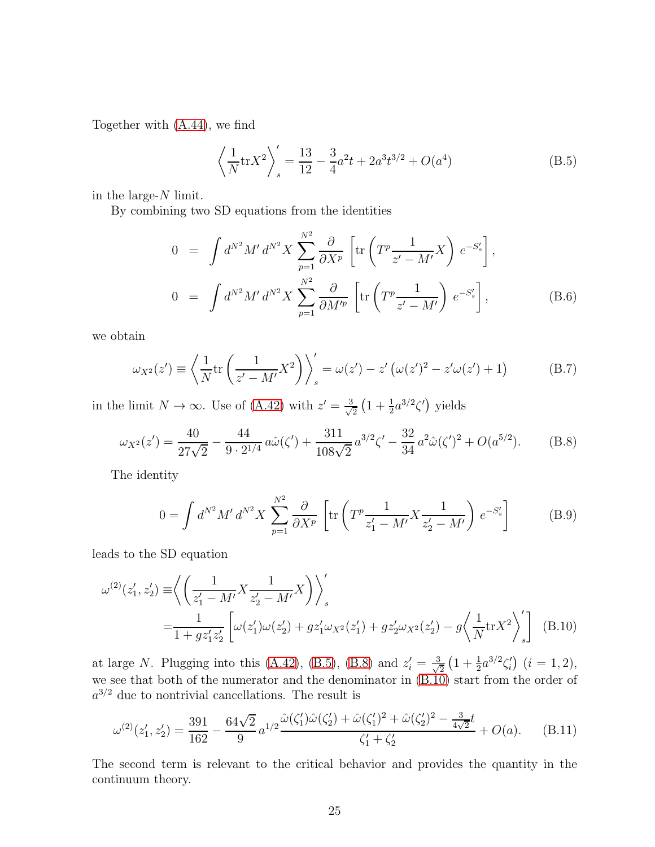Together with [\(A.44\)](#page-24-1), we find

<span id="page-25-1"></span>
$$
\left\langle \frac{1}{N} \text{tr} X^2 \right\rangle_s' = \frac{13}{12} - \frac{3}{4} a^2 t + 2a^3 t^{3/2} + O(a^4)
$$
\n(B.5)

in the large- $N$  limit.

By combining two SD equations from the identities

$$
0 = \int d^{N^2} M' d^{N^2} X \sum_{p=1}^{N^2} \frac{\partial}{\partial X^p} \left[ \text{tr} \left( T^p \frac{1}{z' - M'} X \right) e^{-S'_s} \right],
$$
  
\n
$$
0 = \int d^{N^2} M' d^{N^2} X \sum_{p=1}^{N^2} \frac{\partial}{\partial M'^p} \left[ \text{tr} \left( T^p \frac{1}{z' - M'} \right) e^{-S'_s} \right],
$$
 (B.6)

we obtain

$$
\omega_{X^2}(z') \equiv \left\langle \frac{1}{N} \text{tr} \left( \frac{1}{z' - M'} X^2 \right) \right\rangle_s' = \omega(z') - z' \left( \omega(z')^2 - z' \omega(z') + 1 \right) \tag{B.7}
$$

in the limit  $N \to \infty$ . Use of [\(A.42\)](#page-23-0) with  $z' = \frac{3}{\sqrt{2}}$  $\frac{1}{2}(1+\frac{1}{2}a^{3/2}\zeta')$  yields

<span id="page-25-2"></span>
$$
\omega_{X^2}(z') = \frac{40}{27\sqrt{2}} - \frac{44}{9 \cdot 2^{1/4}} a\hat{\omega}(\zeta') + \frac{311}{108\sqrt{2}} a^{3/2} \zeta' - \frac{32}{34} a^2 \hat{\omega}(\zeta')^2 + O(a^{5/2}).
$$
 (B.8)

The identity

<span id="page-25-3"></span>
$$
0 = \int d^{N^2} M' d^{N^2} X \sum_{p=1}^{N^2} \frac{\partial}{\partial X^p} \left[ \text{tr} \left( T^p \frac{1}{z_1' - M'} X \frac{1}{z_2' - M'} \right) e^{-S'_s} \right]
$$
(B.9)

leads to the SD equation

$$
\omega^{(2)}(z'_1, z'_2) \equiv \left\langle \left( \frac{1}{z'_1 - M'} X \frac{1}{z'_2 - M'} X \right) \right\rangle'_s
$$
  
= 
$$
\frac{1}{1 + gz'_1 z'_2} \left[ \omega(z'_1) \omega(z'_2) + gz'_1 \omega_{X^2}(z'_1) + gz'_2 \omega_{X^2}(z'_2) - g \left\langle \frac{1}{N} \text{tr} X^2 \right\rangle'_s \right]
$$
 (B.10)

at large N. Plugging into this [\(A.42\)](#page-23-0), [\(B.5\)](#page-25-1), [\(B.8\)](#page-25-2) and  $z_i' = \frac{3}{\sqrt{2}}$  $\frac{1}{2}(1+\frac{1}{2}a^{3/2}\zeta'_i)(i=1,2),$ we see that both of the numerator and the denominator in  $(B.10)$  start from the order of  $a^{3/2}$  due to nontrivial cancellations. The result is

<span id="page-25-0"></span>
$$
\omega^{(2)}(z_1', z_2') = \frac{391}{162} - \frac{64\sqrt{2}}{9} a^{1/2} \frac{\hat{\omega}(\zeta_1')\hat{\omega}(\zeta_2') + \hat{\omega}(\zeta_1')^2 + \hat{\omega}(\zeta_2')^2 - \frac{3}{4\sqrt{2}}t}{\zeta_1' + \zeta_2'} + O(a). \tag{B.11}
$$

The second term is relevant to the critical behavior and provides the quantity in the continuum theory.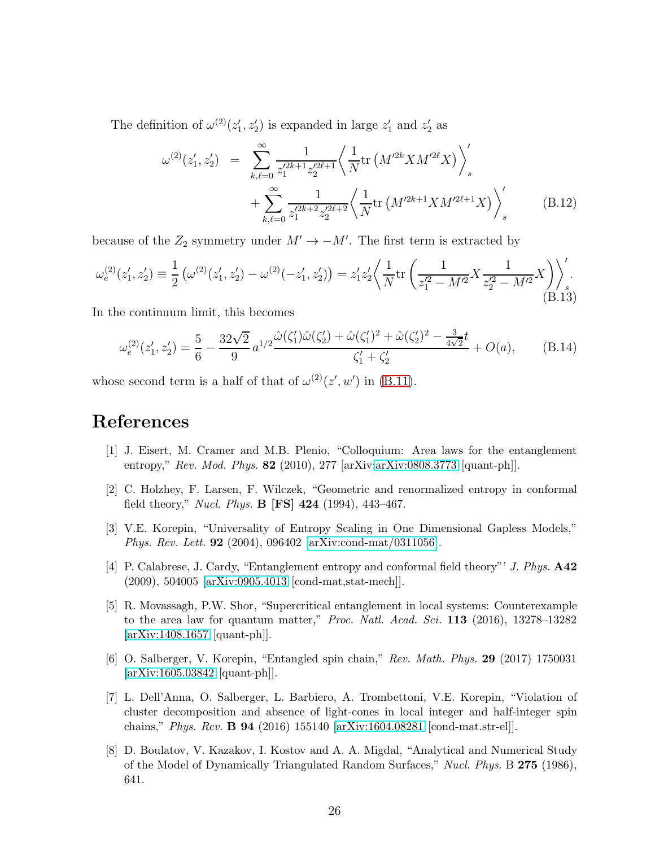The definition of  $\omega^{(2)}(z_1', z_2')$  is expanded in large  $z_1'$  and  $z_2'$  as

$$
\omega^{(2)}(z_1', z_2') = \sum_{k,\ell=0}^{\infty} \frac{1}{z_1'^{2k+1} z_2'^{2\ell+1}} \left\langle \frac{1}{N} \text{tr}\left(M'^{2k} X M'^{2\ell} X\right) \right\rangle_s' + \sum_{k,\ell=0}^{\infty} \frac{1}{z_1'^{2k+2} z_2'^{2\ell+2}} \left\langle \frac{1}{N} \text{tr}\left(M'^{2k+1} X M'^{2\ell+1} X\right) \right\rangle_s' \tag{B.12}
$$

because of the  $Z_2$  symmetry under  $M' \to -M'$ . The first term is extracted by

$$
\omega_e^{(2)}(z_1', z_2') \equiv \frac{1}{2} \left( \omega^{(2)}(z_1', z_2') - \omega^{(2)}(-z_1', z_2') \right) = z_1' z_2' \left\langle \frac{1}{N} \text{tr} \left( \frac{1}{z_1'^2 - M'^2} X \frac{1}{z_2'^2 - M'^2} X \right) \right\rangle_s'.
$$
\n(B.13)

In the continuum limit, this becomes

<span id="page-26-7"></span>
$$
\omega_e^{(2)}(z_1', z_2') = \frac{5}{6} - \frac{32\sqrt{2}}{9}a^{1/2}\frac{\hat{\omega}(\zeta_1')\hat{\omega}(\zeta_2') + \hat{\omega}(\zeta_1')^2 + \hat{\omega}(\zeta_2')^2 - \frac{3}{4\sqrt{2}}t}{\zeta_1' + \zeta_2'} + O(a), \quad (B.14)
$$

whose second term is a half of that of  $\omega^{(2)}(z', w')$  in [\(B.11\)](#page-25-0).

# <span id="page-26-0"></span>References

- [1] J. Eisert, M. Cramer and M.B. Plenio, "Colloquium: Area laws for the entanglement entropy," Rev. Mod. Phys. **82** (2010), 277 [arXiv[:arXiv:0808.3773](http://arxiv.org/abs/0808.3773) [quant-ph]].
- <span id="page-26-1"></span>[2] C. Holzhey, F. Larsen, F. Wilczek, "Geometric and renormalized entropy in conformal field theory," *Nucl. Phys.* **B** [FS] 424 (1994), 443-467.
- <span id="page-26-2"></span>[3] V.E. Korepin, "Universality of Entropy Scaling in One Dimensional Gapless Models," Phys. Rev. Lett. 92 (2004), 096402 [\[arXiv:cond-mat/0311056\]](http://arxiv.org/abs/cond-mat/0311056).
- [4] P. Calabrese, J. Cardy, "Entanglement entropy and conformal field theory"' J. Phys. A42 (2009), 504005 [\[arXiv:0905.4013](http://arxiv.org/abs/0905.4013) [cond-mat,stat-mech]].
- <span id="page-26-3"></span>[5] R. Movassagh, P.W. Shor, "Supercritical entanglement in local systems: Counterexample to the area law for quantum matter," *Proc. Natl. Acad. Sci.* 113 (2016), 13278-13282 [\[arXiv:1408.1657](http://arxiv.org/abs/1408.1657) [quant-ph]].
- <span id="page-26-4"></span>[6] O. Salberger, V. Korepin, "Entangled spin chain," Rev. Math. Phys. 29 (2017) 1750031 [\[arXiv:1605.03842](http://arxiv.org/abs/1605.03842) [quant-ph]].
- <span id="page-26-5"></span>[7] L. Dell'Anna, O. Salberger, L. Barbiero, A. Trombettoni, V.E. Korepin, "Violation of cluster decomposition and absence of light-cones in local integer and half-integer spin chains," Phys. Rev. B 94 (2016) 155140 [\[arXiv:1604.08281](http://arxiv.org/abs/1604.08281) [cond-mat.str-el]].
- <span id="page-26-6"></span>[8] D. Boulatov, V. Kazakov, I. Kostov and A. A. Migdal, "Analytical and Numerical Study of the Model of Dynamically Triangulated Random Surfaces," Nucl. Phys. B 275 (1986), 641.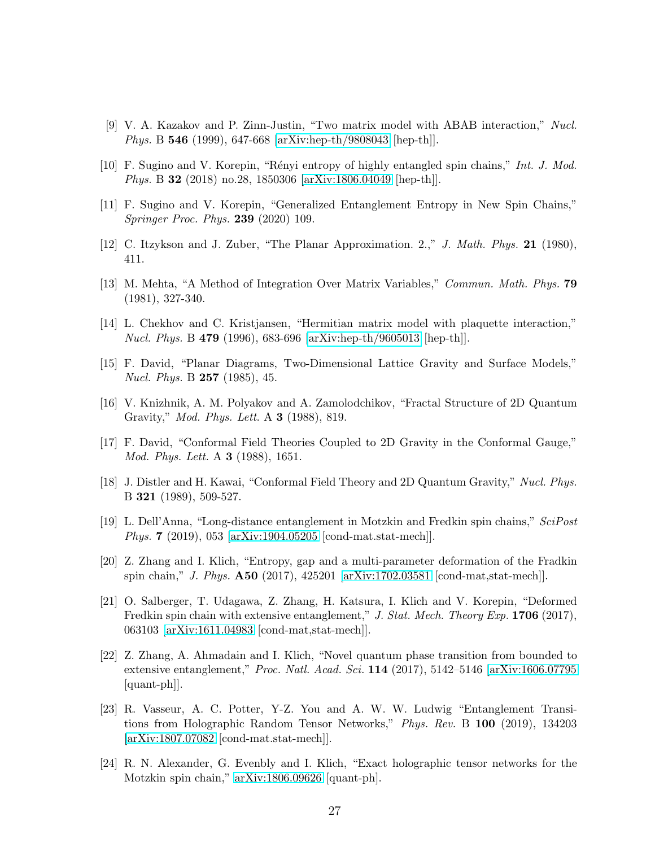- <span id="page-27-0"></span>[9] V. A. Kazakov and P. Zinn-Justin, "Two matrix model with ABAB interaction," Nucl. Phys. B 546 (1999), 647-668 [\[arXiv:hep-th/9808043](http://arxiv.org/abs/hep-th/9808043) [hep-th]].
- <span id="page-27-2"></span><span id="page-27-1"></span>[10] F. Sugino and V. Korepin, "Rényi entropy of highly entangled spin chains," Int. J. Mod. Phys. B 32 (2018) no.28, 1850306 [\[arXiv:1806.04049](http://arxiv.org/abs/1806.04049) [hep-th]].
- <span id="page-27-3"></span>[11] F. Sugino and V. Korepin, "Generalized Entanglement Entropy in New Spin Chains," Springer Proc. Phys. 239 (2020) 109.
- <span id="page-27-4"></span>[12] C. Itzykson and J. Zuber, "The Planar Approximation. 2.," J. Math. Phys. 21 (1980), 411.
- <span id="page-27-5"></span>[13] M. Mehta, "A Method of Integration Over Matrix Variables," Commun. Math. Phys. 79 (1981), 327-340.
- <span id="page-27-6"></span>[14] L. Chekhov and C. Kristjansen, "Hermitian matrix model with plaquette interaction," Nucl. Phys. B 479 (1996), 683-696 [\[arXiv:hep-th/9605013](http://arxiv.org/abs/hep-th/9605013) [hep-th]].
- <span id="page-27-7"></span>[15] F. David, "Planar Diagrams, Two-Dimensional Lattice Gravity and Surface Models," Nucl. Phys. B 257 (1985), 45.
- [16] V. Knizhnik, A. M. Polyakov and A. Zamolodchikov, "Fractal Structure of 2D Quantum Gravity," Mod. Phys. Lett. A 3 (1988), 819.
- <span id="page-27-8"></span>[17] F. David, "Conformal Field Theories Coupled to 2D Gravity in the Conformal Gauge," Mod. Phys. Lett. A **3** (1988), 1651.
- [18] J. Distler and H. Kawai, "Conformal Field Theory and 2D Quantum Gravity," Nucl. Phys. B 321 (1989), 509-527.
- <span id="page-27-9"></span>[19] L. Dell'Anna, "Long-distance entanglement in Motzkin and Fredkin spin chains," SciPost Phys. 7 (2019), 053 [\[arXiv:1904.05205](http://arxiv.org/abs/1904.05205) [cond-mat.stat-mech]].
- <span id="page-27-10"></span>[20] Z. Zhang and I. Klich, "Entropy, gap and a multi-parameter deformation of the Fradkin spin chain," J. Phys. A50 (2017), 425201 [\[arXiv:1702.03581](http://arxiv.org/abs/1702.03581) [cond-mat,stat-mech]].
- [21] O. Salberger, T. Udagawa, Z. Zhang, H. Katsura, I. Klich and V. Korepin, "Deformed Fredkin spin chain with extensive entanglement," J. Stat. Mech. Theory Exp. 1706 (2017), 063103 [\[arXiv:1611.04983](http://arxiv.org/abs/1611.04983) [cond-mat,stat-mech]].
- <span id="page-27-11"></span>[22] Z. Zhang, A. Ahmadain and I. Klich, "Novel quantum phase transition from bounded to extensive entanglement," Proc. Natl. Acad. Sci. 114 (2017), 5142-5146 [\[arXiv:1606.07795](http://arxiv.org/abs/1606.07795) [quant-ph]].
- <span id="page-27-12"></span>[23] R. Vasseur, A. C. Potter, Y-Z. You and A. W. W. Ludwig "Entanglement Transitions from Holographic Random Tensor Networks," Phys. Rev. B 100 (2019), 134203 [\[arXiv:1807.07082](http://arxiv.org/abs/1807.07082) [cond-mat.stat-mech]].
- [24] R. N. Alexander, G. Evenbly and I. Klich, "Exact holographic tensor networks for the Motzkin spin chain," [arXiv:1806.09626](http://arxiv.org/abs/1806.09626) [quant-ph].